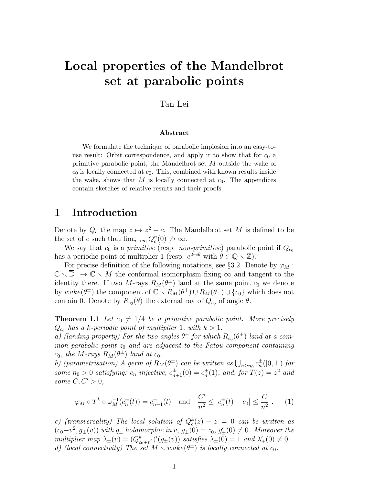# Local properties of the Mandelbrot set at parabolic points

### Tan Lei

#### Abstract

We formulate the technique of parabolic implosion into an easy-touse result: Orbit correspondence, and apply it to show that for  $c_0$  a primitive parabolic point, the Mandelbrot set M outside the wake of  $c_0$  is locally connected at  $c_0$ . This, combined with known results inside the wake, shows that M is locally connected at  $c_0$ . The appendices contain sketches of relative results and their proofs.

## 1 Introduction

Denote by  $Q_c$  the map  $z \mapsto z^2 + c$ . The Mandelbrot set M is defined to be the set of c such that  $\lim_{n\to\infty} Q_c^n(0) \not\to \infty$ .

We say that  $c_0$  is a *primitive* (resp. *non-primitive*) parabolic point if  $Q_{c_0}$ has a periodic point of multiplier 1 (resp.  $e^{2\pi i\theta}$  with  $\theta \in \mathbb{Q} \setminus \mathbb{Z}$ ).

For precise definition of the following notations, see §3.2. Denote by  $\varphi_M$ :  $\mathbb{C} \setminus \overline{\mathbb{D}} \to \mathbb{C} \setminus M$  the conformal isomorphism fixing  $\infty$  and tangent to the identity there. If two M-rays  $R_M(\theta^{\pm})$  land at the same point  $c_0$  we denote by  $\text{wake}(\theta^{\pm})$  the component of  $\mathbb{C} \setminus R_M(\theta^+) \cup R_M(\theta^-) \cup \{c_0\}$  which does not contain 0. Denote by  $R_{c_0}(\theta)$  the external ray of  $Q_{c_0}$  of angle  $\theta$ .

**Theorem 1.1** Let  $c_0 \neq 1/4$  be a primitive parabolic point. More precisely  $Q_{c_0}$  has a k-periodic point of multiplier 1, with  $k > 1$ .

a) (landing property) For the two angles  $\theta^{\pm}$  for which  $R_{c_0}(\theta^{\pm})$  land at a common parabolic point  $z_0$  and are adjacent to the Fatou component containing  $c_0$ , the M-rays  $R_M(\theta^{\pm})$  land at  $c_0$ .

b) (parametrisation) A germ of  $R_M(\theta^{\pm})$  can be written as  $\bigcup_{n\geq n_0} c_n^{\pm}([0,1])$  for some  $n_0 > 0$  satisfying:  $c_n$  injective,  $c_{n+1}^{\pm}(0) = c_n^{\pm}(1)$ , and, for  $T(z) = z^2$  and some  $C, C' > 0$ ,

$$
\varphi_M \circ T^k \circ \varphi_M^{-1}(c_n^{\pm}(t)) = c_{n-1}^{\pm}(t) \text{ and } \frac{C'}{n^2} \le |c_n^{\pm}(t) - c_0| \le \frac{C}{n^2}.
$$
 (1)

c) (transversality) The local solution of  $Q_c^k(z) - z = 0$  can be written as  $(c_0+v^2, g_{\pm}(v))$  with  $g_{\pm}$  holomorphic in  $v, g_{\pm}(0) = z_0, g'_{\pm}(0) \neq 0$ . Moreover the multiplier map  $\lambda_{\pm}(v) = (Q_{c_0+v^2}^k)'(g_{\pm}(v))$  satisfies  $\lambda_{\pm}(0) = 1$  and  $\lambda'_{\pm}(0) \neq 0$ . d) (local connectivity) The set  $M \setminus wake(\theta^{\pm})$  is locally connected at  $c_0$ .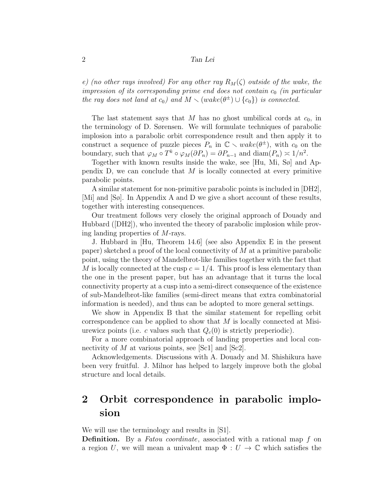e) (no other rays involved) For any other ray  $R_M(\zeta)$  outside of the wake, the impression of its corresponding prime end does not contain  $c_0$  (in particular the ray does not land at  $c_0$ ) and  $M \setminus (wake(\theta^{\pm}) \cup \{c_0\})$  is connected.

The last statement says that M has no ghost umbilical cords at  $c_0$ , in the terminology of D. Sørensen. We will formulate techniques of parabolic implosion into a parabolic orbit correspondence result and then apply it to construct a sequence of puzzle pieces  $P_n$  in  $\mathbb{C} \setminus wake(\theta^{\pm})$ , with  $c_0$  on the boundary, such that  $\varphi_M \circ T^k \circ \varphi_M(\partial P_n) = \partial P_{n-1}$  and  $\text{diam}(P_n) \approx 1/n^2$ .

Together with known results inside the wake, see [Hu, Mi, Sø] and Appendix  $D$ , we can conclude that  $M$  is locally connected at every primitive parabolic points.

A similar statement for non-primitive parabolic points is included in [DH2], [Mi] and [Sø]. In Appendix A and D we give a short account of these results, together with interesting consequences.

Our treatment follows very closely the original approach of Douady and Hubbard ([DH2]), who invented the theory of parabolic implosion while proving landing properties of M-rays.

J. Hubbard in [Hu, Theorem 14.6] (see also Appendix E in the present paper) sketched a proof of the local connectivity of  $M$  at a primitive parabolic point, using the theory of Mandelbrot-like families together with the fact that M is locally connected at the cusp  $c = 1/4$ . This proof is less elementary than the one in the present paper, but has an advantage that it turns the local connectivity property at a cusp into a semi-direct consequence of the existence of sub-Mandelbrot-like families (semi-direct means that extra combinatorial information is needed), and thus can be adopted to more general settings.

We show in Appendix B that the similar statement for repelling orbit correspondence can be applied to show that  $M$  is locally connected at Misiurewicz points (i.e. c values such that  $Q_c(0)$  is strictly preperiodic).

For a more combinatorial approach of landing properties and local connectivity of M at various points, see [Sc1] and [Sc2].

Acknowledgements. Discussions with A. Douady and M. Shishikura have been very fruitful. J. Milnor has helped to largely improve both the global structure and local details.

# 2 Orbit correspondence in parabolic implosion

We will use the terminology and results in [S1].

Definition. By a *Fatou coordinate*, associated with a rational map f on a region U, we will mean a univalent map  $\Phi: U \to \mathbb{C}$  which satisfies the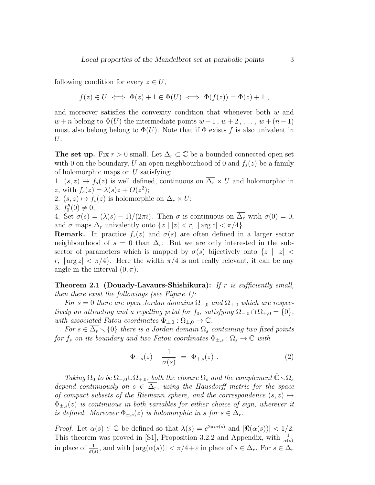following condition for every  $z \in U$ ,

$$
f(z) \in U \iff \Phi(z) + 1 \in \Phi(U) \iff \Phi(f(z)) = \Phi(z) + 1 ,
$$

and moreover satisfies the convexity condition that whenever both  $w$  and  $w + n$  belong to  $\Phi(U)$  the intermediate points  $w + 1, w + 2, \ldots, w + (n - 1)$ must also belong belong to  $\Phi(U)$ . Note that if  $\Phi$  exists f is also univalent in U.

The set up. Fix  $r > 0$  small. Let  $\Delta_r \subset \mathbb{C}$  be a bounded connected open set with 0 on the boundary, U an open neighbourhood of 0 and  $f_s(z)$  be a family of holomorphic maps on  $U$  satisfying:

1.  $(s, z) \mapsto f_s(z)$  is well defined, continuous on  $\overline{\Delta_r} \times U$  and holomorphic in z, with  $f_s(z) = \lambda(s)z + O(z^2);$ 

2.  $(s, z) \mapsto f_s(z)$  is holomorphic on  $\Delta_r \times U$ ;

3.  $f''_0(0) \neq 0;$ 

4. Set  $\sigma(s) = (\lambda(s) - 1)/(2\pi i)$ . Then  $\sigma$  is continuous on  $\overline{\Delta_r}$  with  $\sigma(0) = 0$ , and  $\sigma$  maps  $\Delta_r$  univalently onto  $\{z \mid |z| < r, \, |\arg z| < \pi/4\}.$ 

**Remark.** In practice  $f_s(z)$  and  $\sigma(s)$  are often defined in a larger sector neighbourhood of  $s = 0$  than  $\Delta_r$ . But we are only interested in the subsector of parameters which is mapped by  $\sigma(s)$  bijectively onto  $\{z \mid |z|$ r,  $|\arg z| < \pi/4$ . Here the width  $\pi/4$  is not really relevant, it can be any angle in the interval  $(0, \pi)$ .

**Theorem 2.1 (Douady-Lavaurs-Shishikura):** If r is sufficiently small, then there exist the followings (see Figure 1):

For s = 0 there are open Jordan domains  $\Omega_{-,0}$  and  $\Omega_{+,0}$  which are respectively an attracting and a repelling petal for  $f_0$ , satisfying  $\overline{\Omega_{-,0}} \cap \overline{\Omega_{+,0}} = \{0\},\$ with associated Fatou coordinates  $\Phi_{+,0} : \Omega_{+,0} \to \mathbb{C}$ .

For  $s \in \Delta_r \setminus \{0\}$  there is a Jordan domain  $\Omega_s$  containing two fixed points for  $f_s$  on its boundary and two Fatou coordinates  $\Phi_{\pm,s} : \Omega_s \to \mathbb{C}$  with

$$
\Phi_{-,s}(z) - \frac{1}{\sigma(s)} = \Phi_{+,s}(z) . \tag{2}
$$

Taking  $\Omega_0$  to be  $\Omega_{-,0}\cup\Omega_{+,0}$ , both the closure  $\overline{\Omega_s}$  and the complement  $\hat{\mathbb{C}}\setminus\Omega_s$ depend continuously on  $s \in \overline{\Delta_r}$ , using the Hausdorff metric for the space of compact subsets of the Riemann sphere, and the correspondence  $(s, z) \mapsto$  $\Phi_{+,s}(z)$  is continuous in both variables for either choice of sign, wherever it is defined. Moreover  $\Phi_{\pm,s}(z)$  is holomorphic in s for  $s \in \Delta_r$ .

Proof. Let  $\alpha(s) \in \mathbb{C}$  be defined so that  $\lambda(s) = e^{2\pi i \alpha(s)}$  and  $|\Re(\alpha(s))| < 1/2$ . This theorem was proved in [S1], Proposition 3.2.2 and Appendix, with  $\frac{1}{\alpha(s)}$ in place of  $\frac{1}{\sigma(s)}$ , and with  $|\arg(\alpha(s))| < \pi/4 + \varepsilon$  in place of  $s \in \Delta_r$ . For  $s \in \Delta_r$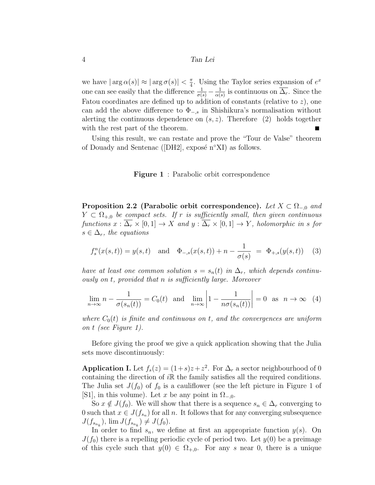we have  $|\arg \alpha(s)| \approx |\arg \sigma(s)| < \frac{\pi}{4}$  $\frac{\pi}{4}$ . Using the Taylor series expansion of  $e^x$ one can see easily that the difference  $\frac{1}{\sigma(s)} - \frac{1}{\alpha(s)}$  $\frac{1}{\alpha(s)}$  is continuous on  $\Delta_r$ . Since the Fatou coordinates are defined up to addition of constants (relative to  $z$ ), one can add the above difference to  $\Phi_{-,s}$  in Shishikura's normalisation without alerting the continuous dependence on  $(s, z)$ . Therefore (2) holds together with the rest part of the theorem.

Using this result, we can restate and prove the "Tour de Valse" theorem of Douady and Sentenac ([DH2], exposé n°XI) as follows.

#### Figure 1: Parabolic orbit correspondence

Proposition 2.2 (Parabolic orbit correspondence). Let  $X \subset \Omega_{-0}$  and  $Y \subset \Omega_{+,0}$  be compact sets. If r is sufficiently small, then given continuous functions  $x : \overline{\Delta_r} \times [0,1] \to X$  and  $y : \overline{\Delta_r} \times [0,1] \to Y$ , holomorphic in s for  $s \in \Delta_r$ , the equations

$$
f_s^n(x(s,t)) = y(s,t) \text{ and } \Phi_{-,s}(x(s,t)) + n - \frac{1}{\sigma(s)} = \Phi_{+,s}(y(s,t)) \quad (3)
$$

have at least one common solution  $s = s_n(t)$  in  $\Delta_r$ , which depends continuously on t, provided that n is sufficiently large. Moreover

$$
\lim_{n \to \infty} n - \frac{1}{\sigma(s_n(t))} = C_0(t) \text{ and } \lim_{n \to \infty} \left| 1 - \frac{1}{n\sigma(s_n(t))} \right| = 0 \text{ as } n \to \infty \quad (4)
$$

where  $C_0(t)$  is finite and continuous on t, and the convergences are uniform on t (see Figure 1).

Before giving the proof we give a quick application showing that the Julia sets move discontinuously:

**Application I.** Let  $f_s(z) = (1+s)z + z^2$ . For  $\Delta_r$  a sector neighbourhood of 0 containing the direction of  $i\mathbb{R}$  the family satisfies all the required conditions. The Julia set  $J(f_0)$  of  $f_0$  is a cauliflower (see the left picture in Figure 1 of [S1], in this volume). Let x be any point in  $\Omega_{-,0}$ .

So  $x \notin J(f_0)$ . We will show that there is a sequence  $s_n \in \Delta_r$  converging to 0 such that  $x \in J(f_{s_n})$  for all n. It follows that for any converging subsequence  $J(f_{s_{n_k}}), \lim J(f_{s_{n_k}}) \neq J(f_0).$ 

In order to find  $s_n$ , we define at first an appropriate function  $y(s)$ . On  $J(f_0)$  there is a repelling periodic cycle of period two. Let  $y(0)$  be a preimage of this cycle such that  $y(0) \in \Omega_{+,0}$ . For any s near 0, there is a unique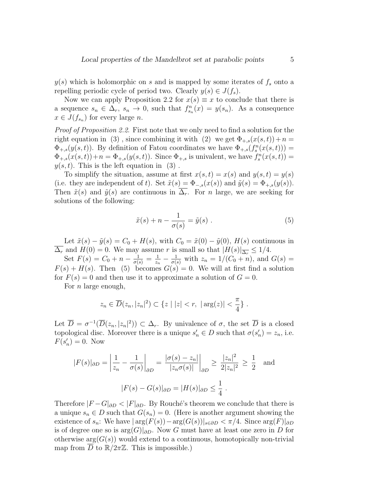$y(s)$  which is holomorphic on s and is mapped by some iterates of  $f_s$  onto a repelling periodic cycle of period two. Clearly  $y(s) \in J(f_s)$ .

Now we can apply Proposition 2.2 for  $x(s) \equiv x$  to conclude that there is a sequence  $s_n \in \Delta_r$ ,  $s_n \to 0$ , such that  $f_{s_n}^n(x) = y(s_n)$ . As a consequence  $x \in J(f_{s_n})$  for every large n.

Proof of Proposition 2.2. First note that we only need to find a solution for the right equation in (3), since combining it with (2) we get  $\Phi_{+,s}(x(s,t))+n=$  $\Phi_{+,s}(y(s,t))$ . By definition of Fatou coordinates we have  $\Phi_{+,s}(f_s^n(x(s,t)))$  =  $\Phi_{+,s}(x(s,t)) + n = \Phi_{+,s}(y(s,t))$ . Since  $\Phi_{+,s}$  is univalent, we have  $f_s^n(x(s,t)) =$  $y(s, t)$ . This is the left equation in (3).

To simplify the situation, assume at first  $x(s, t) = x(s)$  and  $y(s, t) = y(s)$ (i.e. they are independent of t). Set  $\tilde{x}(s) = \Phi_{-,s}(x(s))$  and  $\tilde{y}(s) = \Phi_{+,s}(y(s))$ . Then  $\tilde{x}(s)$  and  $\tilde{y}(s)$  are continuous in  $\overline{\Delta_r}$ . For *n* large, we are seeking for solutions of the following:

$$
\tilde{x}(s) + n - \frac{1}{\sigma(s)} = \tilde{y}(s) . \tag{5}
$$

Let  $\tilde{x}(s) - \tilde{y}(s) = C_0 + H(s)$ , with  $C_0 = \tilde{x}(0) - \tilde{y}(0)$ ,  $H(s)$  continuous in  $\overline{\Delta_r}$  and  $H(0) = 0$ . We may assume r is small so that  $|H(s)|_{\overline{\Delta_r}} \leq 1/4$ .

Set  $F(s) = C_0 + n - \frac{1}{\sigma(s)} = \frac{1}{z_r}$  $\frac{1}{z_n} - \frac{1}{\sigma(s)}$  with  $z_n = 1/(C_0 + n)$ , and  $G(s) =$  $F(s) + H(s)$ . Then (5) becomes  $G(s) = 0$ . We will at first find a solution for  $F(s) = 0$  and then use it to approximate a solution of  $G = 0$ .

For  $n$  large enough,

$$
z_n \in \overline{D}(z_n, |z_n|^2) \subset \{z \mid |z| < r, \, |\arg(z)| < \frac{\pi}{4}\}.
$$

Let  $\overline{D} = \sigma^{-1}(\overline{D}(z_n, |z_n|^2)) \subset \Delta_r$ . By univalence of  $\sigma$ , the set  $\overline{D}$  is a closed topological disc. Moreover there is a unique  $s'_n \in D$  such that  $\sigma(s'_n) = z_n$ , i.e.  $F(s'_n) = 0$ . Now

$$
|F(s)|_{\partial D} = \left| \frac{1}{z_n} - \frac{1}{\sigma(s)} \right|_{\partial D} = \frac{|\sigma(s) - z_n|}{|z_n \sigma(s)|} \Big|_{\partial D} \ge \frac{|z_n|^2}{2|z_n|^2} \ge \frac{1}{2} \text{ and}
$$
  

$$
|F(s) - G(s)|_{\partial D} = |H(s)|_{\partial D} \le \frac{1}{4}.
$$

Therefore  $|F - G|_{\partial D} < |F|_{\partial D}$ . By Rouché's theorem we conclude that there is a unique  $s_n \in D$  such that  $G(s_n) = 0$ . (Here is another argument showing the existence of  $s_n$ : We have  $|\arg(F(s)) - \arg(G(s))|_{s \in \partial D} < \pi/4$ . Since  $\arg(F)|_{\partial D}$ is of degree one so is  $\arg(G)|_{\partial D}$ . Now G must have at least one zero in D for otherwise  $arg(G(s))$  would extend to a continuous, homotopically non-trivial map from  $\overline{D}$  to  $\mathbb{R}/2\pi\mathbb{Z}$ . This is impossible.)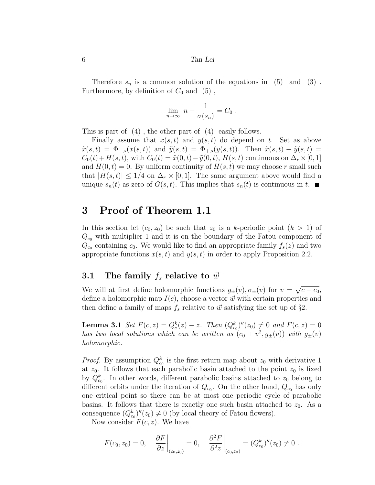Therefore  $s_n$  is a common solution of the equations in (5) and (3). Furthermore, by definition of  $C_0$  and  $(5)$ ,

$$
\lim_{n \to \infty} n - \frac{1}{\sigma(s_n)} = C_0.
$$

This is part of (4) , the other part of (4) easily follows.

Finally assume that  $x(s, t)$  and  $y(s, t)$  do depend on t. Set as above  $\tilde{x}(s,t) = \Phi_{-s}(x(s,t))$  and  $\tilde{y}(s,t) = \Phi_{+s}(y(s,t))$ . Then  $\tilde{x}(s,t) - \tilde{y}(s,t) =$  $C_0(t) + H(s, t)$ , with  $C_0(t) = \tilde{x}(0, t) - \tilde{y}(0, t)$ ,  $H(s, t)$  continuous on  $\Delta_r \times [0, 1]$ and  $H(0, t) = 0$ . By uniform continuity of  $H(s, t)$  we may choose r small such that  $|H(s,t)| \leq 1/4$  on  $\Delta_r \times [0,1]$ . The same argument above would find a unique  $s_n(t)$  as zero of  $G(s,t)$ . This implies that  $s_n(t)$  is continuous in t.

## 3 Proof of Theorem 1.1

In this section let  $(c_0, z_0)$  be such that  $z_0$  is a k-periodic point  $(k > 1)$  of  $Q_{c_0}$  with multiplier 1 and it is on the boundary of the Fatou component of  $Q_{c0}$  containing  $c_0$ . We would like to find an appropriate family  $f_s(z)$  and two appropriate functions  $x(s, t)$  and  $y(s, t)$  in order to apply Proposition 2.2.

### 3.1 The family  $f_s$  relative to  $\vec{w}$

We will at first define holomorphic functions  $g_{\pm}(v), \sigma_{\pm}(v)$  for  $v =$ √  $\overline{c-c_0},$ define a holomorphic map  $I(c)$ , choose a vector  $\vec{w}$  with certain properties and then define a family of maps  $f_s$  relative to  $\vec{w}$  satisfying the set up of §2.

**Lemma 3.1** Set  $F(c, z) = Q_c^k(z) - z$ . Then  $(Q_{c_0}^k)''(z_0) \neq 0$  and  $F(c, z) = 0$ has two local solutions which can be written as  $(c_0 + v^2, g_{\pm}(v))$  with  $g_{\pm}(v)$ holomorphic.

*Proof.* By assumption  $Q_{c_0}^k$  is the first return map about  $z_0$  with derivative 1 at  $z_0$ . It follows that each parabolic basin attached to the point  $z_0$  is fixed by  $Q_{c_0}^k$ . In other words, different parabolic basins attached to  $z_0$  belong to different orbits under the iteration of  $Q_{c_0}$ . On the other hand,  $Q_{c_0}$  has only one critical point so there can be at most one periodic cycle of parabolic basins. It follows that there is exactly one such basin attached to  $z_0$ . As a consequence  $(Q_{c_0}^k)''(z_0) \neq 0$  (by local theory of Fatou flowers).

Now consider  $F(c, z)$ . We have

$$
F(c_0, z_0) = 0,
$$
  $\left. \frac{\partial F}{\partial z} \right|_{(c_0, z_0)} = 0,$   $\left. \frac{\partial^2 F}{\partial^2 z} \right|_{(c_0, z_0)} = (Q_{c_0}^k)''(z_0) \neq 0.$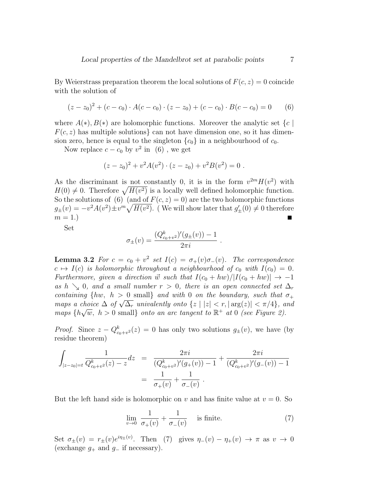By Weierstrass preparation theorem the local solutions of  $F(c, z) = 0$  coincide with the solution of

$$
(z - z0)2 + (c - c0) \cdot A(c - c0) \cdot (z - z0) + (c - c0) \cdot B(c - c0) = 0
$$
 (6)

where  $A(*)$ ,  $B(*)$  are holomorphic functions. Moreover the analytic set  $\{c \}$  $F(c, z)$  has multiple solutions can not have dimension one, so it has dimension zero, hence is equal to the singleton  ${c_0}$  in a neighbourhood of  $c_0$ .

Now replace  $c - c_0$  by  $v^2$  in (6), we get

$$
(z-z_0)^2 + v^2 A(v^2) \cdot (z-z_0) + v^2 B(v^2) = 0.
$$

As the discriminant is not constantly 0, it is in the form  $v^{2m}H(v^2)$  with  $H(0) \neq 0$ . Therefore  $\sqrt{H(v^2)}$  is a locally well defined holomorphic function. So the solutions of (6) (and of  $F(c, z) = 0$ ) are the two holomorphic functions  $g_{\pm}(v) = -v^2 A(v^2) \pm v^m \sqrt{H(v^2)}$ . (We will show later that  $g'_{\pm}(0) \neq 0$  therefore  $m=1.$ 

Set

$$
\sigma_{\pm}(v) = \frac{(Q_{c_0+v^2}^k)'(g_{\pm}(v)) - 1}{2\pi i}
$$

**Lemma 3.2** For  $c = c_0 + v^2$  set  $I(c) = \sigma_+(v)\sigma_-(v)$ . The correspondence  $c \mapsto I(c)$  is holomorphic throughout a neighbourhood of  $c_0$  with  $I(c_0) = 0$ . Furthermore, given a direction  $\vec{w}$  such that  $I(c_0 + hw)/|I(c_0 + hw)| \rightarrow -1$ as h  $\searrow$  0, and a small number r > 0, there is an open connected set  $\Delta_r$ containing  $\{hw, h > 0 \text{ small}\}\$ and with 0 on the boundary, such that  $\sigma_+$ containing  $\{nw, n > 0 \text{ small} \}$  and with 0 on the obtinary, such that  $o_+$ <br>maps a choice  $\Delta$  of  $\sqrt{\Delta_r}$  univalently onto  $\{z \mid |z| < r, |\arg(z)| < \pi/4\}$ , and maps {h  $\sqrt{w}$ ,  $h > 0$  small} onto an arc tangent to  $\mathbb{R}^+$  at 0 (see Figure 2).

*Proof.* Since  $z - Q_{c_0+v^2}^k(z) = 0$  has only two solutions  $g_{\pm}(v)$ , we have (by residue theorem)

$$
\int_{|z-z_0| = t} \frac{1}{Q_{c_0+v^2}^k(z) - z} dz = \frac{2\pi i}{(Q_{c_0+v^2}^k)'(g_+(v)) - 1} + \frac{2\pi i}{(Q_{c_0+v^2}^k)'(g_-(v)) - 1}
$$

$$
= \frac{1}{\sigma_+(v)} + \frac{1}{\sigma_-(v)}.
$$

But the left hand side is holomorphic on v and has finite value at  $v = 0$ . So

$$
\lim_{v \to 0} \frac{1}{\sigma_+(v)} + \frac{1}{\sigma_-(v)} \quad \text{is finite.} \tag{7}
$$

.

Set  $\sigma_{\pm}(v) = r_{\pm}(v)e^{i\eta_{\pm}(v)}$ . Then (7) gives  $\eta_{-}(v) - \eta_{+}(v) \to \pi$  as  $v \to 0$ (exchange  $g_+$  and  $g_-$  if necessary).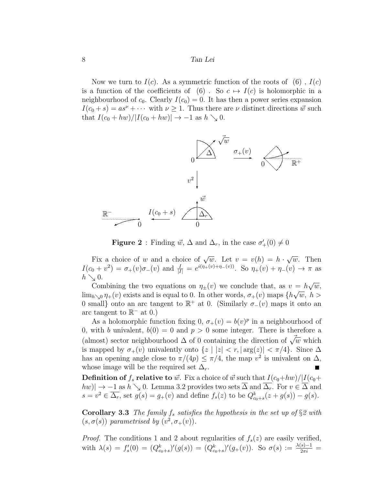Now we turn to  $I(c)$ . As a symmetric function of the roots of (6),  $I(c)$ is a function of the coefficients of (6). So  $c \mapsto I(c)$  is holomorphic in a neighbourhood of  $c_0$ . Clearly  $I(c_0) = 0$ . It has then a power series expansion  $I(c_0 + s) = as^{\nu} + \cdots$  with  $\nu \geq 1$ . Thus there are  $\nu$  distinct directions  $\vec{w}$  such that  $I(c_0 + hw)/|I(c_0 + hw)| \rightarrow -1$  as  $h \searrow 0$ .



**Figure 2**: Finding  $\vec{w}$ ,  $\Delta$  and  $\Delta_r$ , in the case  $\sigma'_+(0) \neq 0$ 

Fix a choice of w and a choice of  $\sqrt{w}$ . Let  $v = v(h) = h$ . √  $\overline{w}$ . Then  $I(c_0 + v^2) = \sigma_+(v)\sigma_-(v)$  and  $\frac{I}{|I|} = e^{i(\eta_+(v)+\eta_-(v))}$ . So  $\eta_+(v) + \eta_-(v) \to \pi$  as  $h \searrow 0.$ √

Combining the two equations on  $\eta_{\pm}(v)$  we conclude that, as  $v = h$  $= h\sqrt{w},$  $\lim_{h\searrow0}\eta_+(v)$  exists and is equal to 0. In other words,  $\sigma_+(v)$  maps  $\{h\sqrt{w}, h\}$ 0 small} onto an arc tangent to  $\mathbb{R}^+$  at 0. (Similarly  $\sigma_-(v)$  maps it onto an arc tangent to  $\mathbb{R}^-$  at 0.)

As a holomorphic function fixing 0,  $\sigma_{+}(v) = b(v)^p$  in a neighbourhood of 0, with b univalent,  $b(0) = 0$  and  $p > 0$  some integer. There is therefore a (almost) sector neighbourhood  $\Delta$  of 0 containing the direction of  $\vec{\sqrt{w}}$  which is mapped by  $\sigma_+(v)$  univalently onto  $\{z \mid |z| < r, |\arg(z)| < \pi/4\}$ . Since  $\Delta$ has an opening angle close to  $\pi/(4p) \leq \pi/4$ , the map  $v^2$  is univalent on  $\Delta$ , whose image will be the required set  $\Delta_r$ .

**Definition of**  $f_s$  relative to  $\vec{w}$ . Fix a choice of  $\vec{w}$  such that  $I(c_0+hw)/|I(c_0+$  $|hw| \to -1$  as  $h \searrow 0$ . Lemma 3.2 provides two sets  $\overline{\Delta}$  and  $\overline{\Delta_r}$ . For  $v \in \overline{\Delta}$  and  $s = v^2 \in \overline{\Delta_r}$ , set  $g(s) = g_+(v)$  and define  $f_s(z)$  to be  $Q_{c_0+s}^k(z+g(s)) - g(s)$ .

Corollary 3.3 The family  $f_s$  satisfies the hypothesis in the set up of  $\S 2$  with  $(s, \sigma(s))$  parametrised by  $(v^2, \sigma_+(v))$ .

*Proof.* The conditions 1 and 2 about regularities of  $f_s(z)$  are easily verified, with  $\lambda(s) = f_s'(0) = (Q_{c_0+s}^k)'(g(s)) = (Q_{c_0+s}^k)'(g_+(v))$ . So  $\sigma(s) := \frac{\lambda(s)-1}{2\pi i}$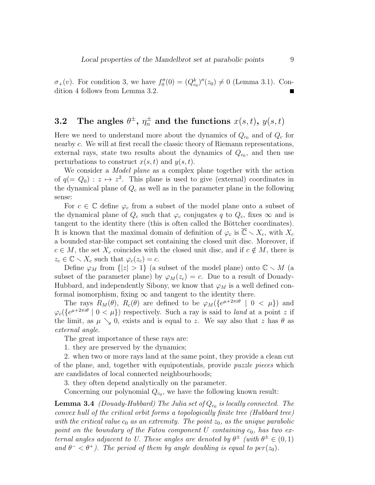$\sigma_{+}(v)$ . For condition 3, we have  $f''_{0}(0) = (Q_{c_{0}}^{k})''(z_{0}) \neq 0$  (Lemma 3.1). Condition 4 follows from Lemma 3.2.

# 3.2 The angles  $\theta^{\pm}, \, \eta^{\pm}_n$  and the functions  $x(s,t), \, y(s,t)$

Here we need to understand more about the dynamics of  $Q_{c_0}$  and of  $Q_c$  for nearby c. We will at first recall the classic theory of Riemann representations, external rays, state two results about the dynamics of  $Q_{c_0}$ , and then use perturbations to construct  $x(s, t)$  and  $y(s, t)$ .

We consider a *Model plane* as a complex plane together with the action of  $q (= Q_0) : z \mapsto z^2$ . This plane is used to give (external) coordinates in the dynamical plane of  $Q_c$  as well as in the parameter plane in the following sense:

For  $c \in \mathbb{C}$  define  $\varphi_c$  from a subset of the model plane onto a subset of the dynamical plane of  $Q_c$  such that  $\varphi_c$  conjugates q to  $Q_c$ , fixes  $\infty$  and is tangent to the identity there (this is often called the Böttcher coordinates). It is known that the maximal domain of definition of  $\varphi_c$  is  $\overline{\mathbb{C}} \setminus X_c$ , with  $X_c$ a bounded star-like compact set containing the closed unit disc. Moreover, if  $c \in M$ , the set  $X_c$  coincides with the closed unit disc, and if  $c \notin M$ , there is  $z_c \in \mathbb{C} \setminus X_c$  such that  $\varphi_c(z_c) = c$ .

Define  $\varphi_M$  from  $\{|z| > 1\}$  (a subset of the model plane) onto  $\mathbb{C} \setminus M$  (a subset of the parameter plane) by  $\varphi_M(z_c) = c$ . Due to a result of Douady-Hubbard, and independently Sibony, we know that  $\varphi_M$  is a well defined conformal isomorphism, fixing  $\infty$  and tangent to the identity there.

The rays  $R_M(\theta)$ ,  $R_c(\theta)$  are defined to be  $\varphi_M(\{e^{\mu+2\pi i\theta} \mid 0 < \mu\})$  and  $\varphi_c({e^{\mu+2\pi i\theta}} \mid 0 < \mu)$  respectively. Such a ray is said to land at a point z if the limit, as  $\mu \searrow 0$ , exists and is equal to z. We say also that z has  $\theta$  as external angle.

The great importance of these rays are:

1. they are preserved by the dynamics;

2. when two or more rays land at the same point, they provide a clean cut of the plane, and, together with equipotentials, provide puzzle pieces which are candidates of local connected neighbourhoods;

3. they often depend analytically on the parameter.

Concerning our polynomial  $Q_{c0}$ , we have the following known result:

**Lemma 3.4** (Douady-Hubbard) The Julia set of  $Q_{c_0}$  is locally connected. The convex hull of the critical orbit forms a topologically finite tree (Hubbard tree) with the critical value  $c_0$  as an extremity. The point  $z_0$ , as the unique parabolic point on the boundary of the Fatou component U containing  $c_0$ , has two external angles adjacent to U. These angles are denoted by  $\theta^{\pm}$  (with  $\theta^{\pm} \in (0,1)$ ) and  $\theta^{-} < \theta^{+}$ ). The period of them by angle doubling is equal to per(z<sub>0</sub>).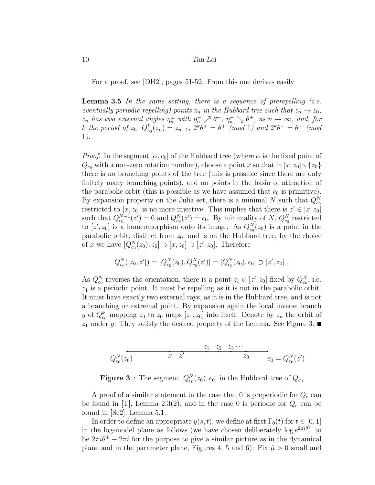For a proof, see [DH2], pages 51-52. From this one derives easily

**Lemma 3.5** In the same setting, there is a sequence of prerepelling (i.e. eventually periodic repelling) points  $z_n$  in the Hubbard tree such that  $z_n \to z_0$ ,  $z_n$  has two external angles  $\eta_n^{\pm}$  with  $\eta_n^- \nearrow \theta^-$ ,  $\eta_n^+ \searrow \theta^+$ , as  $n \to \infty$ , and, for k the period of  $z_0$ ,  $Q_{c_0}^k(z_n) = z_{n-1}$ ,  $2^k \theta^+ = \theta^+ \pmod{1}$  and  $2^k \theta^- = \theta^- \pmod{1}$ 1).

*Proof.* In the segment  $[\alpha, c_0]$  of the Hubbard tree (where  $\alpha$  is the fixed point of  $Q_{c_0}$  with a non-zero rotation number), choose a point x so that in  $[x, z_0] \setminus \{z_0\}$ there is no branching points of the tree (this is possible since there are only finitely many branching points), and no points in the basin of attraction of the parabolic orbit (this is possible as we have assumed that  $c_0$  is primitive). By expansion property on the Julia set, there is a minimal N such that  $Q_{c_0}^N$ restricted to  $[x, z_0]$  is no more injective. This implies that there is  $z' \in [x, z_0]$ such that  $Q_{c_0}^{N-1}(z') = 0$  and  $Q_{c_0}^{N}(z') = c_0$ . By minimality of N,  $Q_{c_0}^{N}$  restricted to  $[z', z_0]$  is a homeomorphism onto its image. As  $Q_{c_0}^N(z_0)$  is a point in the parabolic orbit, distinct from  $z_0$ , and is on the Hubbard tree, by the choice of x we have  $[Q_{c_0}^N(z_0), z_0] \supset [x, z_0] \supset [z', z_0]$ . Therefore

$$
Q_{c_0}^N([z_0, z']) = [Q_{c_0}^N(z_0), Q_{c_0}^N(z')] = [Q_{c_0}^N(z_0), c_0] \supset [z', z_0].
$$

As  $Q_{c_0}^N$  reverses the orientation, there is a point  $z_1 \in [z', z_0]$  fixed by  $Q_{c_0}^N$ , i.e.  $z_1$  is a periodic point. It must be repelling as it is not in the parabolic orbit. It must have exactly two external rays, as it is in the Hubbard tree, and is not a branching or extremal point. By expansion again the local inverse branch g of  $Q_{c_0}^k$  mapping  $z_0$  to  $z_0$  maps  $[z_1, z_0]$  into itself. Denote by  $z_n$  the orbit of  $z_1$  under g. They satisfy the desired property of the Lemma. See Figure 3.

$$
Q_{c_0}^N(z_0) \t\t x \t z' \t\t z_0 z_0 = Q_{c_0}^N(z')
$$

**Figure 3**: The segment  $[Q_{c_0}^N(z_0), c_0]$  in the Hubbard tree of  $Q_{c_0}$ 

A proof of a similar statement in the case that 0 is preperiodic for  $Q_c$  can be found in [T], Lemma 2.3(2), and in the case 0 is periodic for  $Q_c$  can be found in [Sc2], Lemma 5.1.

In order to define an appropriate  $y(s, t)$ , we define at first  $\Gamma_0(t)$  for  $t \in [0, 1]$ in the log-model plane as follows (we have chosen deliberately  $\log e^{2\pi i \theta^+}$  to be  $2\pi i\theta^+ - 2\pi i$  for the purpose to give a similar picture as in the dynamical plane and in the parameter plane, Figures 4, 5 and 6): Fix  $\hat{\mu} > 0$  small and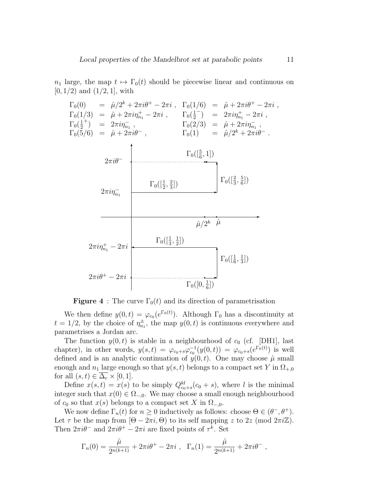$n_1$  large, the map  $t \mapsto \Gamma_0(t)$  should be piecewise linear and continuous on  $[0, 1/2)$  and  $(1/2, 1]$ , with

$$
\Gamma_{0}(0) = \hat{\mu}/2^{k} + 2\pi i\theta^{+} - 2\pi i , \quad \Gamma_{0}(1/6) = \hat{\mu} + 2\pi i\theta^{+} - 2\pi i ,
$$
\n
$$
\Gamma_{0}(1/3) = \hat{\mu} + 2\pi i\eta_{n_{1}}^{+} - 2\pi i , \quad \Gamma_{0}(\frac{1}{2}^{-}) = 2\pi i\eta_{n_{1}}^{+} - 2\pi i ,
$$
\n
$$
\Gamma_{0}(\frac{1}{2}^{+}) = 2\pi i\eta_{n_{1}}^{-} , \quad \Gamma_{0}(2/3) = \hat{\mu} + 2\pi i\eta_{n_{1}}^{-} ,
$$
\n
$$
\Gamma_{0}(1) = \hat{\mu}/2^{k} + 2\pi i\theta^{-} .
$$
\n
$$
2\pi i\theta^{-} \qquad \Gamma_{0}([\frac{5}{6}, 1])
$$
\n
$$
2\pi i\eta_{n_{1}}^{-} = 2\pi i
$$
\n
$$
\Gamma_{0}([\frac{1}{2}, \frac{2}{3}])
$$
\n
$$
\Gamma_{0}([\frac{1}{3}, \frac{1}{2}])
$$
\n
$$
2\pi i\eta_{n_{1}}^{+} - 2\pi i
$$
\n
$$
\Gamma_{0}([\frac{1}{3}, \frac{1}{2}])
$$
\n
$$
2\pi i\theta^{+} - 2\pi i
$$
\n
$$
\Gamma_{0}([0, \frac{1}{6}])
$$

**Figure 4** : The curve  $\Gamma_0(t)$  and its direction of parametrisation

We then define  $y(0, t) = \varphi_{c_0}(e^{\Gamma_0(t)})$ . Although  $\Gamma_0$  has a discontinuity at  $t = 1/2$ , by the choice of  $\eta_{n_1}^{\pm}$ , the map  $y(0, t)$  is continuous everywhere and parametrises a Jordan arc.

The function  $y(0, t)$  is stable in a neighbourhood of  $c_0$  (cf. [DH1], last chapter), in other words,  $y(s,t) = \varphi_{c_0+s}\varphi_{c_0}^{-1}(y(0,t)) = \varphi_{c_0+s}(e^{\Gamma_0(t)})$  is well defined and is an analytic continuation of  $y(0, t)$ . One may choose  $\hat{\mu}$  small enough and  $n_1$  large enough so that  $y(s, t)$  belongs to a compact set Y in  $\Omega_{+,0}$ for all  $(s, t) \in \overline{\Delta_r} \times [0, 1].$ 

Define  $x(s,t) = x(s)$  to be simply  $Q_{c_0+s}^{kl}(c_0+s)$ , where l is the minimal integer such that  $x(0) \in \Omega_{-,0}$ . We may choose a small enough neighbourhood of  $c_0$  so that  $x(s)$  belongs to a compact set X in  $\Omega_{-,0}$ .

We now define  $\Gamma_n(t)$  for  $n \geq 0$  inductively as follows: choose  $\Theta \in (\theta^-, \theta^+)$ . Let  $\tau$  be the map from  $[\Theta - 2\pi i, \Theta]$  to its self mapping z to 2z (mod  $2\pi i \mathbb{Z}$ ). Then  $2\pi i\theta^-$  and  $2\pi i\theta^+ - 2\pi i$  are fixed points of  $\tau^k$ . Set

$$
\Gamma_n(0) = \frac{\hat{\mu}}{2^{n(k+1)}} + 2\pi i \theta^+ - 2\pi i , \ \ \Gamma_n(1) = \frac{\hat{\mu}}{2^{n(k+1)}} + 2\pi i \theta^- ,
$$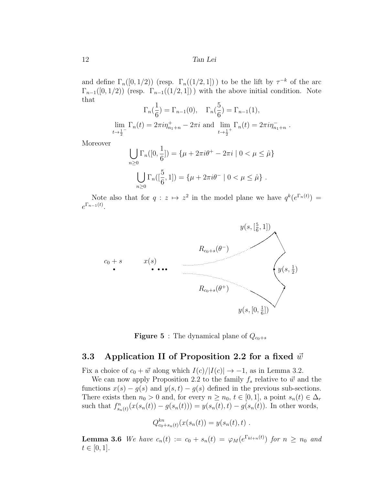and define  $\Gamma_n([0,1/2))$  (resp.  $\Gamma_n((1/2,1])$ ) to be the lift by  $\tau^{-k}$  of the arc  $\Gamma_{n-1}([0,1/2))$  (resp.  $\Gamma_{n-1}((1/2,1])$ ) with the above initial condition. Note that

$$
\Gamma_n(\frac{1}{6}) = \Gamma_{n-1}(0), \quad \Gamma_n(\frac{5}{6}) = \Gamma_{n-1}(1),
$$
  

$$
\lim_{t \to \frac{1}{2}^-} \Gamma_n(t) = 2\pi i \eta_{n_1+n}^+ - 2\pi i \text{ and } \lim_{t \to \frac{1}{2}^+} \Gamma_n(t) = 2\pi i \eta_{n_1+n}^-.
$$

Moreover

$$
\bigcup_{n\geq 0} \Gamma_n([0, \frac{1}{6}]) = \{ \mu + 2\pi i \theta^+ - 2\pi i \mid 0 < \mu \leq \hat{\mu} \}
$$

$$
\bigcup_{n\geq 0} \Gamma_n([\frac{5}{6}, 1]) = \{ \mu + 2\pi i \theta^- \mid 0 < \mu \leq \hat{\mu} \} .
$$

Note also that for  $q : z \mapsto z^2$  in the model plane we have  $q^k(e^{\Gamma_n(t)}) =$  $e^{\Gamma_{n-1}(t)}$ .





### 3.3 Application II of Proposition 2.2 for a fixed  $\vec{w}$

Fix a choice of  $c_0 + \vec{w}$  along which  $I(c)/|I(c)| \rightarrow -1$ , as in Lemma 3.2.

We can now apply Proposition 2.2 to the family  $f_s$  relative to  $\vec{w}$  and the functions  $x(s) - g(s)$  and  $y(s,t) - g(s)$  defined in the previous sub-sections. There exists then  $n_0 > 0$  and, for every  $n \ge n_0$ ,  $t \in [0,1]$ , a point  $s_n(t) \in \Delta_r$ such that  $f_{s_n(t)}^n(x(s_n(t)) - g(s_n(t))) = y(s_n(t), t) - g(s_n(t))$ . In other words,

$$
Q_{c_0+s_n(t)}^{kn}(x(s_n(t)) = y(s_n(t), t) .
$$

**Lemma 3.6** We have  $c_n(t) := c_0 + s_n(t) = \varphi_M(e^{\Gamma_{kl+n}(t)})$  for  $n \geq n_0$  and  $t \in [0, 1].$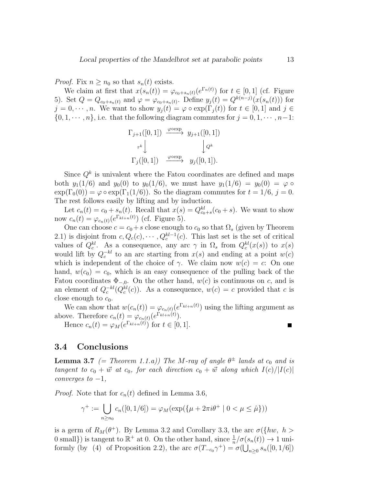*Proof.* Fix  $n \geq n_0$  so that  $s_n(t)$  exists.

We claim at first that  $x(s_n(t)) = \varphi_{c_0+s_n(t)}(e^{\Gamma_n(t)})$  for  $t \in [0,1]$  (cf. Figure 5). Set  $Q = Q_{c_0+s_n(t)}$  and  $\varphi = \varphi_{c_0+s_n(t)}$ . Define  $y_j(t) = Q^{k(n-j)}(x(s_n(t)))$  for  $j = 0, \dots, n$ . We want to show  $y_i(t) = \varphi \circ \exp(\Gamma_i(t))$  for  $t \in [0, 1]$  and  $j \in$  $\{0, 1, \dots, n\}$ , i.e. that the following diagram commutes for  $j = 0, 1, \dots, n-1$ :

$$
\Gamma_{j+1}([0,1]) \xrightarrow{\varphi \text{oexp}} y_{j+1}([0,1])
$$
  

$$
\tau^k \downarrow \qquad \qquad \downarrow Q^k
$$
  

$$
\Gamma_j([0,1]) \xrightarrow{\varphi \text{oexp}} y_j([0,1]).
$$

Since  $Q^k$  is univalent where the Fatou coordinates are defined and maps both  $y_1(1/6)$  and  $y_0(0)$  to  $y_0(1/6)$ , we must have  $y_1(1/6) = y_0(0) = \varphi$  $\exp(\Gamma_0(0)) = \varphi \circ \exp(\Gamma_1(1/6))$ . So the diagram commutes for  $t = 1/6$ ,  $j = 0$ . The rest follows easily by lifting and by induction.

Let  $c_n(t) = c_0 + s_n(t)$ . Recall that  $x(s) = Q_{c_0+s}^{kl}(c_0 + s)$ . We want to show now  $c_n(t) = \varphi_{c_n(t)}(e^{\Gamma_{kl+n}(t)})$  (cf. Figure 5).

One can choose  $c = c_0 + s$  close enough to  $c_0$  so that  $\Omega_s$  (given by Theorem 2.1) is disjoint from  $c, Q_c(c), \cdots, Q_c^{kl-1}(c)$ . This last set is the set of critical values of  $Q_c^{kl}$ . As a consequence, any arc  $\gamma$  in  $\Omega_s$  from  $Q_c^{kl}(x(s))$  to  $x(s)$ would lift by  $Q_c^{-kl}$  to an arc starting from  $x(s)$  and ending at a point  $w(c)$ which is independent of the choice of  $\gamma$ . We claim now  $w(c) = c$ : On one hand,  $w(c_0) = c_0$ , which is an easy consequence of the pulling back of the Fatou coordinates  $\Phi_{-,0}$ . On the other hand,  $w(c)$  is continuous on c, and is an element of  $Q_c^{-kl}(Q_c^{kl}(c))$ . As a consequence,  $w(c) = c$  provided that c is close enough to  $c_0$ .

We can show that  $w(c_n(t)) = \varphi_{c_n(t)}(e^{\Gamma_{kl+n}(t)})$  using the lifting argument as above. Therefore  $c_n(t) = \varphi_{c_n(t)}(e^{\Gamma_{kl+n}(t)})$ .

Hence  $c_n(t) = \varphi_M(e^{\Gamma_{kl+n}(t)})$  for  $t \in [0,1]$ .

### 3.4 Conclusions

**Lemma 3.7** (= Theorem 1.1.a)) The M-ray of angle  $\theta^{\pm}$  lands at  $c_0$  and is tangent to  $c_0 + \vec{w}$  at  $c_0$ , for each direction  $c_0 + \vec{w}$  along which  $I(c)/|I(c)|$  $converges to -1,$ 

*Proof.* Note that for  $c_n(t)$  defined in Lemma 3.6,

$$
\gamma^+ := \bigcup_{n \ge n_0} c_n([0, 1/6]) = \varphi_M(\exp(\{\mu + 2\pi i \theta^+ \mid 0 < \mu \le \hat{\mu}\}))
$$

is a germ of  $R_M(\theta^+)$ . By Lemma 3.2 and Corollary 3.3, the arc  $\sigma({h w, h >$ 0 small}) is tangent to  $\mathbb{R}^+$  at 0. On the other hand, since  $\frac{1}{n}/\sigma(s_n(t)) \to 1$  uniformly (by (4) of Proposition 2.2), the arc  $\sigma(T_{-c_0}\gamma^+) = \sigma(\bigcup_{n\geq 0} s_n([0,1/6])$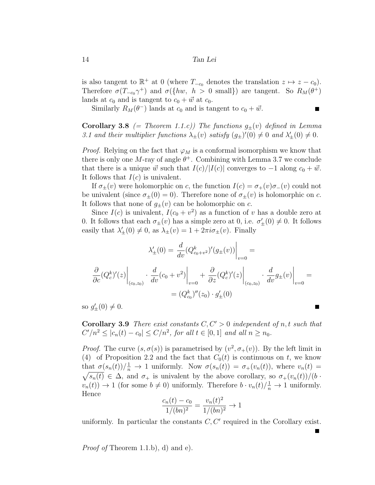is also tangent to  $\mathbb{R}^+$  at 0 (where  $T_{-c_0}$  denotes the translation  $z \mapsto z - c_0$ ). Therefore  $\sigma(T_{-c_0}\gamma^+)$  and  $\sigma({h w, h > 0 \text{ small}})$  are tangent. So  $R_M(\theta^+)$ lands at  $c_0$  and is tangent to  $c_0 + \vec{w}$  at  $c_0$ .

 $\blacksquare$ 

Similarly  $R_M(\theta^-)$  lands at  $c_0$  and is tangent to  $c_0 + \vec{w}$ .

**Corollary 3.8** (= Theorem 1.1.c)) The functions  $g_{\pm}(v)$  defined in Lemma 3.1 and their multiplier functions  $\lambda_{\pm}(v)$  satisfy  $(g_{\pm})'(0) \neq 0$  and  $\lambda'_{\pm}(0) \neq 0$ .

*Proof.* Relying on the fact that  $\varphi_M$  is a conformal isomorphism we know that there is only one M-ray of angle  $\theta^+$ . Combining with Lemma 3.7 we conclude that there is a unique  $\vec{w}$  such that  $I(c)/|I(c)|$  converges to  $-1$  along  $c_0 + \vec{w}$ . It follows that  $I(c)$  is univalent.

If  $\sigma_{+}(v)$  were holomorphic on c, the function  $I(c) = \sigma_{+}(v) \sigma_{-}(v)$  could not be univalent (since  $\sigma_{\pm}(0) = 0$ ). Therefore none of  $\sigma_{\pm}(v)$  is holomorphic on c. It follows that none of  $g_{\pm}(v)$  can be holomorphic on c.

Since  $I(c)$  is univalent,  $I(c_0 + v^2)$  as a function of v has a double zero at 0. It follows that each  $\sigma_{\pm}(v)$  has a simple zero at 0, i.e.  $\sigma'_{\pm}(0) \neq 0$ . It follows easily that  $\lambda'_{\pm}(0) \neq 0$ , as  $\lambda_{\pm}(v) = 1 + 2\pi i \sigma_{\pm}(v)$ . Finally

$$
\lambda'_{\pm}(0) = \frac{d}{dv} (Q_{c_0+v^2}^k)'(g_{\pm}(v)) \Big|_{v=0} =
$$

$$
\frac{\partial}{\partial c} (Q_c^k)'(z) \Big|_{(c_0,z_0)} \cdot \frac{d}{dv} (c_0 + v^2) \Big|_{v=0} + \frac{\partial}{\partial z} (Q_c^k)'(z) \Big|_{(c_0,z_0)} \cdot \frac{d}{dv} g_{\pm}(v) \Big|_{v=0} =
$$

$$
= (Q_{c_0}^k)''(z_0) \cdot g'_{\pm}(0)
$$

so  $g'_{\pm}(0) \neq 0$ .

**Corollary 3.9** There exist constants  $C, C' > 0$  independent of n, t such that  $C'/n^2 \le |c_n(t) - c_0| \le C/n^2$ , for all  $t \in [0,1]$  and all  $n \ge n_0$ .

*Proof.* The curve  $(s, \sigma(s))$  is parametrised by  $(v^2, \sigma_+(v))$ . By the left limit in (4) of Proposition 2.2 and the fact that  $C_0(t)$  is continuous on t, we know that  $\sigma(s_n(t))/\frac{1}{n} \to 1$  uniformly. Now  $\sigma(s_n(t)) = \sigma_+(v_n(t))$ , where  $v_n(t) =$  $\sqrt{s_n(t)} \in \Delta$ , and  $\sigma_+$  is univalent by the above corollary, so  $\sigma_+(v_n(t))/(b \cdot$  $v_n(t)$   $\to$  1 (for some  $b \neq 0$ ) uniformly. Therefore  $b \cdot v_n(t)/\frac{1}{n} \to 1$  uniformly. Hence

$$
\frac{c_n(t) - c_0}{1/(bn)^2} = \frac{v_n(t)^2}{1/(bn)^2} \to 1
$$

uniformly. In particular the constants  $C, C'$  required in the Corollary exist.

Proof of Theorem 1.1.b), d) and e).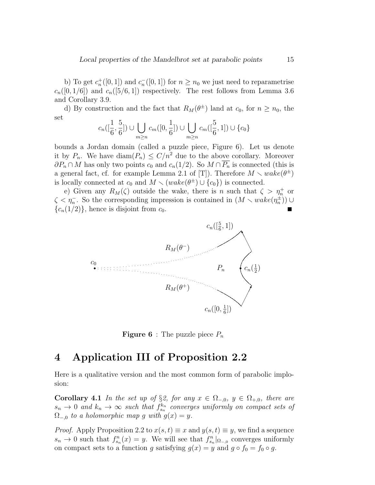b) To get  $c_n^+([0,1])$  and  $c_n^-([0,1])$  for  $n \geq n_0$  we just need to reparametrise  $c_n([0, 1/6])$  and  $c_n([5/6, 1])$  respectively. The rest follows from Lemma 3.6 and Corollary 3.9.

d) By construction and the fact that  $R_M(\theta^{\pm})$  land at  $c_0$ , for  $n \geq n_0$ , the set

$$
c_n([\frac{1}{6}, \frac{5}{6}]) \cup \bigcup_{m \ge n} c_m([0, \frac{1}{6}]) \cup \bigcup_{m \ge n} c_m([\frac{5}{6}, 1]) \cup \{c_0\}
$$

bounds a Jordan domain (called a puzzle piece, Figure 6). Let us denote it by  $P_n$ . We have  $\text{diam}(P_n) \leq C/n^2$  due to the above corollary. Moreover  $\partial P_n \cap M$  has only two points  $c_0$  and  $c_n(1/2)$ . So  $M \cap \overline{P_n}$  is connected (this is a general fact, cf. for example Lemma 2.1 of [T]). Therefore  $M \setminus wake(\theta^{\pm})$ is locally connected at  $c_0$  and  $M \setminus (wake(\theta^{\pm}) \cup \{c_0\})$  is connected.

e) Given any  $R_M(\zeta)$  outside the wake, there is n such that  $\zeta > \eta_n^+$  or  $\zeta \leq \eta_n^{\perp}$ . So the corresponding impression is contained in  $(M \setminus wake(\eta_n^{\pm}))$  ${c_n(1/2)}$ , hence is disjoint from  $c_0$ .



**Figure 6** : The puzzle piece  $P_n$ 

## 4 Application III of Proposition 2.2

Here is a qualitative version and the most common form of parabolic implosion:

Corollary 4.1 In the set up of §2, for any  $x \in \Omega_{-,0}$ ,  $y \in \Omega_{+,0}$ , there are  $s_n \to 0$  and  $k_n \to \infty$  such that  $f_{s_n}^{k_n}$  converges uniformly on compact sets of  $\Omega_{-,0}$  to a holomorphic map g with  $g(x) = y$ .

*Proof.* Apply Proposition 2.2 to  $x(s,t) \equiv x$  and  $y(s,t) \equiv y$ , we find a sequence  $s_n \to 0$  such that  $f_{s_n}^n(x) = y$ . We will see that  $f_{s_n}^n|_{\Omega_{-,0}}$  converges uniformly on compact sets to a function g satisfying  $g(x) = y$  and  $g \circ f_0 = f_0 \circ g$ .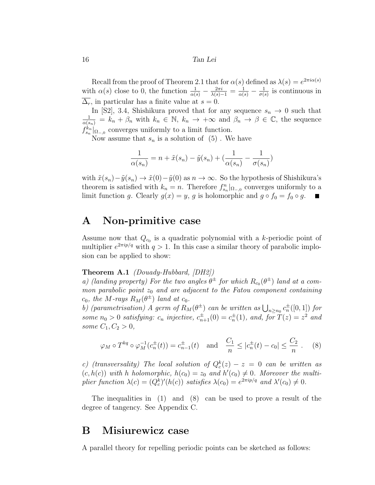Recall from the proof of Theorem 2.1 that for  $\alpha(s)$  defined as  $\lambda(s) = e^{2\pi i \alpha(s)}$ with  $\alpha(s)$  close to 0, the function  $\frac{1}{\alpha(s)} - \frac{2\pi i}{\lambda(s)-1} = \frac{1}{\alpha(s)} - \frac{1}{\sigma(s)}$  $\frac{1}{\sigma(s)}$  is continuous in  $\overline{\Delta_r}$ , in particular has a finite value at  $s = 0$ .

In [S2], 3.4, Shishikura proved that for any sequence  $s_n \to 0$  such that  $\frac{1}{\alpha(s_n)} = k_n + \beta_n$  with  $k_n \in \mathbb{N}$ ,  $k_n \to +\infty$  and  $\beta_n \to \beta \in \mathbb{C}$ , the sequence  $f_{s_n}^{k_n}|_{\Omega_{-,0}}$  converges uniformly to a limit function.

Now assume that  $s_n$  is a solution of  $(5)$ . We have

$$
\frac{1}{\alpha(s_n)} = n + \tilde{x}(s_n) - \tilde{y}(s_n) + \left(\frac{1}{\alpha(s_n)} - \frac{1}{\sigma(s_n)}\right)
$$

with  $\tilde{x}(s_n)-\tilde{y}(s_n) \to \tilde{x}(0)-\tilde{y}(0)$  as  $n \to \infty$ . So the hypothesis of Shishikura's theorem is satisfied with  $k_n = n$ . Therefore  $f_{s_n}^n|_{\Omega_{-,0}}$  converges uniformly to a limit function g. Clearly  $g(x) = y$ , g is holomorphic and  $g \circ f_0 = f_0 \circ g$ .

### A Non-primitive case

Assume now that  $Q_{c_0}$  is a quadratic polynomial with a k-periodic point of multiplier  $e^{2\pi i p/q}$  with  $q > 1$ . In this case a similar theory of parabolic implosion can be applied to show:

### Theorem A.1 (Douady-Hubbard, [DH2])

a) (landing property) For the two angles  $\theta^{\pm}$  for which  $R_{c_0}(\theta^{\pm})$  land at a common parabolic point  $z_0$  and are adjacent to the Fatou component containing  $c_0$ , the M-rays  $R_M(\theta^{\pm})$  land at  $c_0$ .

b) (parametrisation) A germ of  $R_M(\theta^{\pm})$  can be written as  $\bigcup_{n\geq n_0} c_n^{\pm}([0,1])$  for some  $n_0 > 0$  satisfying:  $c_n$  injective,  $c_{n+1}^{\pm}(0) = c_n^{\pm}(1)$ , and, for  $T(z) = z^2$  and some  $C_1, C_2 > 0$ ,

$$
\varphi_M \circ T^{kq} \circ \varphi_M^{-1}(c_n^{\pm}(t)) = c_{n-1}^{\pm}(t) \text{ and } \frac{C_1}{n} \le |c_n^{\pm}(t) - c_0| \le \frac{C_2}{n} .
$$
 (8)

c) (transversality) The local solution of  $Q_c^k(z) - z = 0$  can be written as  $(c, h(c))$  with h holomorphic,  $h(c_0) = z_0$  and  $h'(c_0) \neq 0$ . Moreover the multiplier function  $\lambda(c) = (Q_c^k)'(h(c))$  satisfies  $\lambda(c_0) = e^{2\pi i p/q}$  and  $\lambda'(c_0) \neq 0$ .

The inequalities in (1) and (8) can be used to prove a result of the degree of tangency. See Appendix C.

### B Misiurewicz case

A parallel theory for repelling periodic points can be sketched as follows: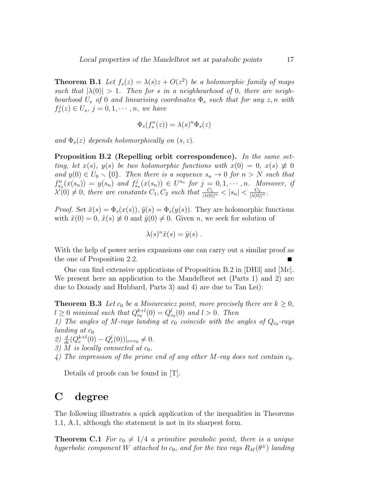**Theorem B.1** Let  $f_s(z) = \lambda(s)z + O(z^2)$  be a holomorphic family of maps such that  $|\lambda(0)| > 1$ . Then for s in a neighbourhood of 0, there are neighbourhood  $U_s$  of 0 and linearising coordinates  $\Phi_s$  such that for any  $z, n$  with  $f_s^j(z) \in U_s$ ,  $j = 0, 1, \dots, n$ , we have

$$
\Phi_s(f^n_s(z))=\lambda(s)^n\Phi_s(z)
$$

and  $\Phi_s(z)$  depends holomorphically on  $(s, z)$ .

Proposition B.2 (Repelling orbit correspondence). In the same setting, let  $x(s)$ ,  $y(s)$  be two holomorphic functions with  $x(0) = 0$ ,  $x(s) \neq 0$ and  $y(0) \in U_0 \setminus \{0\}$ . Then there is a sequence  $s_n \to 0$  for  $n > N$  such that  $f_{s_n}^n(x(s_n)) = y(s_n)$  and  $f_{s_n}^j(x(s_n)) \in U^{s_n}$  for  $j = 0, 1, \cdots, n$ . Moreover, if  $\lambda'(0) \neq 0$ , there are constants  $C_1, C_2$  such that  $\frac{C_1}{|\lambda(0)|^n} < |s_n| < \frac{C_2}{|\lambda(0)|^n}$ .

*Proof.* Set  $\tilde{x}(s) = \Phi_s(x(s)), \tilde{y}(s) = \Phi_s(y(s)).$  They are holomorphic functions with  $\tilde{x}(0) = 0$ ,  $\tilde{x}(s) \neq 0$  and  $\tilde{y}(0) \neq 0$ . Given n, we seek for solution of

$$
\lambda(s)^n \tilde{x}(s) = \tilde{y}(s) .
$$

With the help of power series expansions one can carry out a similar proof as the one of Proposition 2.2. т

One can find extensive applications of Proposition B.2 in [DH3] and [Mc]. We present here an application to the Mandelbrot set (Parts 1) and 2) are due to Douady and Hubbard, Parts 3) and 4) are due to Tan Lei):

**Theorem B.3** Let  $c_0$  be a Misiurewicz point, more precisely there are  $k \geq 0$ ,  $l \geq 0$  minimal such that  $Q_{c_0}^{k+l}(0) = Q_{c_0}^l(0)$  and  $l > 0$ . Then

1) The angles of M-rays landing at  $c_0$  coincide with the angles of  $Q_{c_0}$ -rays landing at  $c_0$ 

2)  $\frac{d}{dc}(Q_c^{k+l}(0) - Q_c^l(0))|_{c=c_0} \neq 0.$ 

- 3) M is locally connected at  $c_0$ .
- 4) The impression of the prime end of any other M-ray does not contain  $c_0$ .

Details of proofs can be found in [T].

### C degree

The following illustrates a quick application of the inequalities in Theorems 1.1, A.1, although the statement is not in its sharpest form.

**Theorem C.1** For  $c_0 \neq 1/4$  a primitive parabolic point, there is a unique hyperbolic component W attached to  $c_0$ , and for the two rays  $R_M(\theta^{\pm})$  landing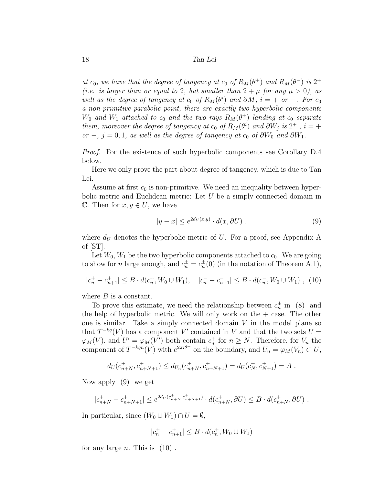at  $c_0$ , we have that the degree of tangency at  $c_0$  of  $R_M(\theta^+)$  and  $R_M(\theta^-)$  is  $2^+$ (i.e. is larger than or equal to 2, but smaller than  $2 + \mu$  for any  $\mu > 0$ ), as well as the degree of tangency at  $c_0$  of  $R_M(\theta^i)$  and  $\partial M$ ,  $i = +$  or  $-$ . For  $c_0$ a non-primitive parabolic point, there are exactly two hyperbolic components  $W_0$  and  $W_1$  attached to  $c_0$  and the two rays  $R_M(\theta^{\pm})$  landing at  $c_0$  separate them, moreover the degree of tangency at  $c_0$  of  $R_M(\theta^i)$  and  $\partial W_j$  is  $2^+$ ,  $i = +$ or −, j = 0, 1, as well as the degree of tangency at  $c_0$  of  $\partial W_0$  and  $\partial W_1$ .

Proof. For the existence of such hyperbolic components see Corollary D.4 below.

Here we only prove the part about degree of tangency, which is due to Tan Lei.

Assume at first  $c_0$  is non-primitive. We need an inequality between hyperbolic metric and Euclidean metric: Let  $U$  be a simply connected domain in C. Then for  $x, y \in U$ , we have

$$
|y - x| \le e^{2d_U(x, y)} \cdot d(x, \partial U) , \qquad (9)
$$

where  $d_U$  denotes the hyperbolic metric of U. For a proof, see Appendix A of [ST].

Let  $W_0, W_1$  be the two hyperbolic components attached to  $c_0$ . We are going to show for *n* large enough, and  $c_n^{\pm} = c_n^{\pm}(0)$  (in the notation of Theorem A.1),

$$
|c_n^+ - c_{n+1}^+| \le B \cdot d(c_n^+, W_0 \cup W_1), \quad |c_n^- - c_{n+1}^-| \le B \cdot d(c_n^-, W_0 \cup W_1) , \tag{10}
$$

where  $B$  is a constant.

To prove this estimate, we need the relationship between  $c_n^{\pm}$  in (8) and the help of hyperbolic metric. We will only work on the  $+$  case. The other one is similar. Take a simply connected domain  $V$  in the model plane so that  $T^{-kq}(V)$  has a component V' contained in V and that the two sets  $U =$  $\varphi_M(V)$ , and  $U' = \varphi_M(V')$  both contain  $c_n^+$  for  $n \geq N$ . Therefore, for  $V_n$  the component of  $T^{-kqn}(V)$  with  $e^{2\pi i\theta^+}$  on the boundary, and  $U_n = \varphi_M(V_n) \subset U$ ,

$$
d_U(c_{n+N}^+, c_{n+N+1}^+) \leq d_{U_n}(c_{n+N}^+, c_{n+N+1}^+) = d_U(c_N^+, c_{N+1}^+) = A
$$
.

Now apply (9) we get

$$
|c_{n+N}^+ - c_{n+N+1}^+| \le e^{2d_U(c_{n+N}^+, c_{n+N+1}^+)} \cdot d(c_{n+N}^+, \partial U) \le B \cdot d(c_{n+N}^+, \partial U) \ .
$$

In particular, since  $(W_0 \cup W_1) \cap U = \emptyset$ ,

$$
|c_n^+ - c_{n+1}^+| \leq B \cdot d(c_n^+, W_0 \cup W_1)
$$

for any large *n*. This is  $(10)$ .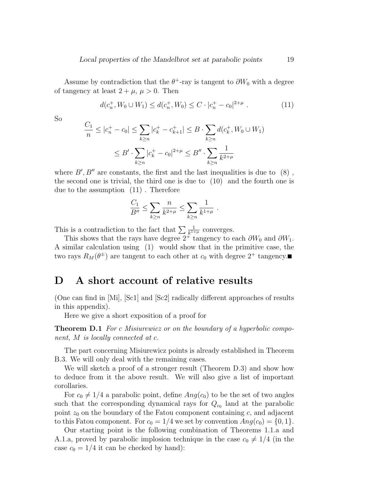Assume by contradiction that the  $\theta^+$ -ray is tangent to  $\partial W_0$  with a degree of tangency at least  $2 + \mu$ ,  $\mu > 0$ . Then

$$
d(c_n^+, W_0 \cup W_1) \le d(c_n^+, W_0) \le C \cdot |c_n^+ - c_0|^{2+\mu} . \tag{11}
$$

So

$$
\frac{C_1}{n} \le |c_n^+ - c_0| \le \sum_{k \ge n} |c_k^+ - c_{k+1}^+| \le B \cdot \sum_{k \ge n} d(c_k^+, W_0 \cup W_1)
$$
  

$$
\le B' \cdot \sum_{k \ge n} |c_k^+ - c_0|^{2+\mu} \le B'' \cdot \sum_{k \ge n} \frac{1}{k^{2+\mu}}
$$

where  $B', B''$  are constants, the first and the last inequalities is due to  $(8)$ , the second one is trivial, the third one is due to (10) and the fourth one is due to the assumption (11) . Therefore

$$
\frac{C_1}{B''} \le \sum_{k \ge n} \frac{n}{k^{2+\mu}} \le \sum_{k \ge n} \frac{1}{k^{1+\mu}} \; .
$$

This is a contradiction to the fact that  $\sum \frac{1}{k^{1+\mu}}$  converges.

This shows that the rays have degree  $2^+$  tangency to each  $\partial W_0$  and  $\partial W_1$ . A similar calculation using (1) would show that in the primitive case, the two rays  $R_M(\theta^{\pm})$  are tangent to each other at  $c_0$  with degree  $2^+$  tangency.

## D A short account of relative results

(One can find in [Mi], [Sc1] and [Sc2] radically different approaches of results in this appendix).

Here we give a short exposition of a proof for

**Theorem D.1** For c Misiurewicz or on the boundary of a hyperbolic component, M is locally connected at c.

The part concerning Misiurewicz points is already established in Theorem B.3. We will only deal with the remaining cases.

We will sketch a proof of a stronger result (Theorem D.3) and show how to deduce from it the above result. We will also give a list of important corollaries.

For  $c_0 \neq 1/4$  a parabolic point, define  $Ang(c_0)$  to be the set of two angles such that the corresponding dynamical rays for  $Q_{c_0}$  land at the parabolic point  $z_0$  on the boundary of the Fatou component containing c, and adjacent to this Fatou component. For  $c_0 = 1/4$  we set by convention  $Ang(c_0) = \{0, 1\}.$ 

Our starting point is the following combination of Theorems 1.1.a and A.1.a, proved by parabolic implosion technique in the case  $c_0 \neq 1/4$  (in the case  $c_0 = 1/4$  it can be checked by hand):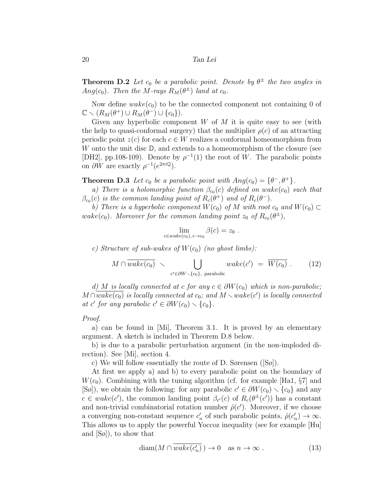**Theorem D.2** Let  $c_0$  be a parabolic point. Denote by  $\theta^{\pm}$  the two angles in Ang $(c_0)$ . Then the M-rays  $R_M(\theta^{\pm})$  land at  $c_0$ .

Now define  $\mathit{wake}(c_0)$  to be the connected component not containing 0 of  $\mathbb{C} \setminus (R_M(\theta^+) \cup R_M(\theta^-) \cup \{c_0\}).$ 

Given any hyperbolic component  $W$  of  $M$  it is quite easy to see (with the help to quasi-conformal surgery) that the multiplier  $\rho(c)$  of an attracting periodic point  $z(c)$  for each  $c \in W$  realizes a conformal homeomorphism from W onto the unit disc  $D$ , and extends to a homeomorphism of the closure (see [DH2], pp.108-109). Denote by  $\rho^{-1}(1)$  the root of W. The parabolic points on  $\partial W$  are exactly  $\rho^{-1}(e^{2\pi i \mathbb{Q}})$ .

**Theorem D.3** Let  $c_0$  be a parabolic point with  $Ang(c_0) = {\theta^-, \theta^+}$ .

a) There is a holomorphic function  $\beta_{c_0}(c)$  defined on wake $(c_0)$  such that  $\beta_{c_0}(c)$  is the common landing point of  $R_c(\theta^+)$  and of  $R_c(\theta^-)$ .

b) There is a hyperbolic component  $W(c_0)$  of M with root  $c_0$  and  $W(c_0) \subset$ wake(c<sub>0</sub>). Moreover for the common landing point  $z_0$  of  $R_{c_0}(\theta^{\pm})$ ,

$$
\lim_{c \in wake(c_0), c \to c_0} \beta(c) = z_0.
$$

c) Structure of sub-wakes of  $W(c_0)$  (no ghost limbs):

$$
M \cap \overline{wake(c_0)} \sim \bigcup_{c' \in \partial W \backslash \{c_0\}, \text{ parabolic}} wake(c') = \overline{W(c_0)}.
$$
 (12)

d) M is locally connected at c for any  $c \in \partial W(c_0)$  which is non-parabolic;  $M \cap \overline{wake(c_0)}$  is locally connected at  $c_0$ ; and  $M \setminus wake(c')$  is locally connected at c' for any parabolic  $c' \in \partial W(c_0) \setminus \{c_0\}.$ 

#### Proof.

a) can be found in [Mi], Theorem 3.1. It is proved by an elementary argument. A sketch is included in Theorem D.8 below.

b) is due to a parabolic perturbation argument (in the non-imploded direction). See [Mi], section 4.

c) We will follow essentially the route of D. Sørensen  $([S\phi])$ .

At first we apply a) and b) to every parabolic point on the boundary of  $W(c_0)$ . Combining with the tuning algorithm (cf. for example [Ha1, §7] and  $[S\phi]$ , we obtain the following: for any parabolic  $c' \in \partial W(c_0) \setminus \{c_0\}$  and any  $c \in wake(c')$ , the common landing point  $\beta_{c'}(c)$  of  $R_c(\theta^{\pm}(c'))$  has a constant and non-trivial combinatorial rotation number  $\hat{\rho}(c')$ . Moreover, if we choose a converging non-constant sequence  $c'_n$  of such parabolic points,  $\hat{\rho}(c'_n) \to \infty$ . This allows us to apply the powerful Yoccoz inequality (see for example [Hu] and [Sø]), to show that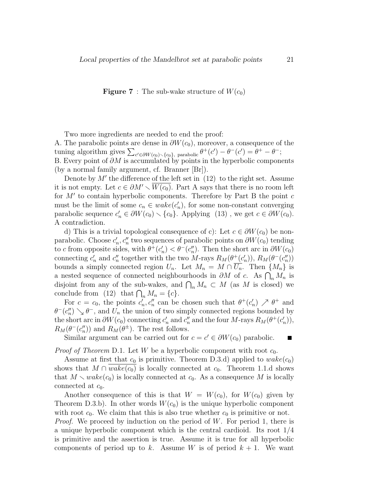**Figure 7** : The sub-wake structure of  $W(c_0)$ 

Two more ingredients are needed to end the proof: A. The parabolic points are dense in  $\partial W(c_0)$ , moreover, a consequence of the tuning algorithm gives  $\sum_{c' \in \partial W(c_0) \setminus \{c_0\}, \text{ parabolic}} \theta^+(c') - \theta^-(c') = \theta^+ - \theta^-;$ B. Every point of  $\partial M$  is accumulated by points in the hyperbolic components (by a normal family argument, cf. Branner [Br]).

Denote by  $M'$  the difference of the left set in  $(12)$  to the right set. Assume it is not empty. Let  $c \in \partial M' \setminus W(c_0)$ . Part A says that there is no room left for  $M'$  to contain hyperbolic components. Therefore by Part B the point  $c$ must be the limit of some  $c_n \in wake(c'_n)$ , for some non-constant converging parabolic sequence  $c'_n \in \partial W(c_0) \setminus \{c_0\}$ . Applying (13), we get  $c \in \partial W(c_0)$ . A contradiction.

d) This is a trivial topological consequence of c): Let  $c \in \partial W(c_0)$  be nonparabolic. Choose  $c'_n, c''_n$  two sequences of parabolic points on  $\partial W(c_0)$  tending to c from opposite sides, with  $\theta^+(c'_n) < \theta^-(c''_n)$ . Then the short arc in  $\partial W(c_0)$ connecting  $c'_n$  and  $c''_n$  together with the two M-rays  $R_M(\theta^+(c'_n)), R_M(\theta^-(c''_n))$ bounds a simply connected region  $U_n$ . Let  $M_n = M \cap \overline{U_n}$ . Then  $\{M_n\}$  is a nested sequence of connected neighbourhoods in  $\partial M$  of c. As  $\bigcap_n M_n$  is disjoint from any of the sub-wakes, and  $\bigcap_n M_n \subset M$  (as M is closed) we conclude from (12) that  $\bigcap_n M_n = \{c\}.$ 

For  $c = c_0$ , the points  $c'_n, c''_n$  can be chosen such that  $\theta^+(c'_n) \nearrow \theta^+$  and  $\theta^{-}(c''_n) \searrow \theta^{-}$ , and  $U_n$  the union of two simply connected regions bounded by the short arc in  $\partial W(c_0)$  connecting  $c'_n$  and  $c''_n$  and the four M-rays  $R_M(\theta^+(c'_n))$ ,  $R_M(\theta^-(c''_n))$  and  $R_M(\theta^{\pm})$ . The rest follows.

Similar argument can be carried out for  $c = c' \in \partial W(c_0)$  parabolic.

*Proof of Theorem D.1.* Let W be a hyperbolic component with root  $c_0$ .

Assume at first that  $c_0$  is primitive. Theorem D.3.d) applied to  $\mathit{wake}(c_0)$ shows that  $M \cap wake(c_0)$  is locally connected at  $c_0$ . Theorem 1.1.d shows that  $M \setminus wake(c_0)$  is locally connected at  $c_0$ . As a consequence M is locally connected at  $c_0$ .

Another consequence of this is that  $W = W(c_0)$ , for  $W(c_0)$  given by Theorem D.3.b). In other words  $W(c_0)$  is the unique hyperbolic component with root  $c_0$ . We claim that this is also true whether  $c_0$  is primitive or not.

*Proof.* We proceed by induction on the period of W. For period 1, there is a unique hyperbolic component which is the central cardioid. Its root 1/4 is primitive and the assertion is true. Assume it is true for all hyperbolic components of period up to k. Assume W is of period  $k + 1$ . We want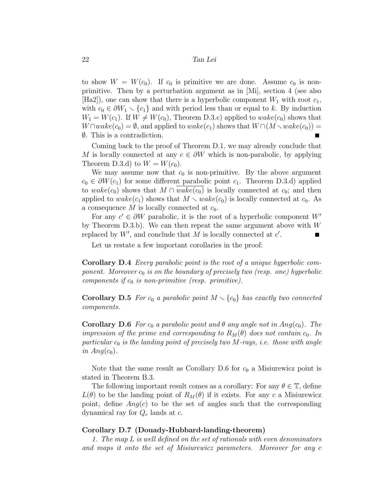to show  $W = W(c_0)$ . If  $c_0$  is primitive we are done. Assume  $c_0$  is nonprimitive. Then by a perturbation argument as in [Mi], section 4 (see also  $|Ha2|$ , one can show that there is a hyperbolic component  $W_1$  with root  $c_1$ , with  $c_0 \in \partial W_1 \setminus \{c_1\}$  and with period less than or equal to k. By induction  $W_1 = W(c_1)$ . If  $W \neq W(c_0)$ , Theorem D.3.c) applied to  $wake(c_0)$  shows that  $W \cap wake(c_0) = \emptyset$ , and applied to  $wake(c_1)$  shows that  $W \cap (M \setminus wake(c_0)) =$ ∅. This is a contradiction.  $\blacksquare$ 

Coming back to the proof of Theorem D.1, we may already conclude that M is locally connected at any  $c \in \partial W$  which is non-parabolic, by applying Theorem D.3.d) to  $W = W(c_0)$ .

We may assume now that  $c_0$  is non-primitive. By the above argument  $c_0 \in \partial W(c_1)$  for some different parabolic point  $c_1$ . Theorem D.3.d) applied to wake(c<sub>0</sub>) shows that  $M \cap wake(c_0)$  is locally connected at c<sub>0</sub>; and then applied to wake(c<sub>1</sub>) shows that  $M \setminus wake(c_0)$  is locally connected at c<sub>0</sub>. As a consequence M is locally connected at  $c_0$ .

For any  $c' \in \partial W$  parabolic, it is the root of a hyperbolic component W<sup>'</sup> by Theorem D.3.b). We can then repeat the same argument above with  $W$ replaced by  $W'$ , and conclude that M is locally connected at  $c'$ .  $\blacksquare$ 

Let us restate a few important corollaries in the proof:

Corollary D.4 Every parabolic point is the root of a unique hyperbolic component. Moreover  $c_0$  is on the boundary of precisely two (resp. one) hyperbolic components if  $c_0$  is non-primitive (resp. primitive).

**Corollary D.5** For  $c_0$  a parabolic point  $M \setminus \{c_0\}$  has exactly two connected components.

**Corollary D.6** For  $c_0$  a parabolic point and  $\theta$  any angle not in  $Ang(c_0)$ . The impression of the prime end corresponding to  $R_M(\theta)$  does not contain  $c_0$ . In particular  $c_0$  is the landing point of precisely two M-rays, i.e. those with angle in  $Ang(c_0)$ .

Note that the same result as Corollary D.6 for  $c_0$  a Misiurewicz point is stated in Theorem B.3.

The following important result comes as a corollary: For any  $\theta \in \mathbb{T}$ , define  $L(\theta)$  to be the landing point of  $R_M(\theta)$  if it exists. For any c a Misiurewicz point, define  $Ang(c)$  to be the set of angles such that the corresponding dynamical ray for  $Q_c$  lands at c.

#### Corollary D.7 (Douady-Hubbard-landing-theorem)

1. The map L is well defined on the set of rationals with even denominators and maps it onto the set of Misiurewicz parameters. Moreover for any c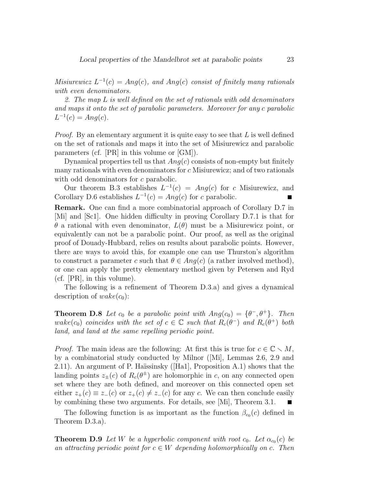Misiurewicz  $L^{-1}(c) = Ang(c)$ , and Ang(c) consist of finitely many rationals with even denominators.

2. The map L is well defined on the set of rationals with odd denominators and maps it onto the set of parabolic parameters. Moreover for any c parabolic  $L^{-1}(c) = Ang(c).$ 

*Proof.* By an elementary argument it is quite easy to see that  $L$  is well defined on the set of rationals and maps it into the set of Misiurewicz and parabolic parameters (cf. [PR] in this volume or [GM]).

Dynamical properties tell us that  $Ang(c)$  consists of non-empty but finitely many rationals with even denominators for c Misiurewicz; and of two rationals with odd denominators for c parabolic.

Our theorem B.3 establishes  $L^{-1}(c) = Ang(c)$  for c Misiurewicz, and Corollary D.6 establishes  $L^{-1}(c) = Ang(c)$  for c parabolic.

Remark. One can find a more combinatorial approach of Corollary D.7 in [Mi] and [Sc1]. One hidden difficulty in proving Corollary D.7.1 is that for θ a rational with even denominator, L(θ) must be a Misiurewicz point, or equivalently can not be a parabolic point. Our proof, as well as the original proof of Douady-Hubbard, relies on results about parabolic points. However, there are ways to avoid this, for example one can use Thurston's algorithm to construct a parameter c such that  $\theta \in Ang(c)$  (a rather involved method), or one can apply the pretty elementary method given by Petersen and Ryd (cf. [PR], in this volume).

The following is a refinement of Theorem D.3.a) and gives a dynamical description of  $wake(c_0)$ :

**Theorem D.8** Let  $c_0$  be a parabolic point with  $Ang(c_0) = {\theta^-, \theta^+}$ . Then  $\text{wake}(c_0)$  coincides with the set of  $c \in \mathbb{C}$  such that  $R_c(\theta^-)$  and  $R_c(\theta^+)$  both land, and land at the same repelling periodic point.

*Proof.* The main ideas are the following: At first this is true for  $c \in \mathbb{C} \setminus M$ , by a combinatorial study conducted by Milnor ([Mi], Lemmas 2.6, 2.9 and 2.11). An argument of P. Haïssinsky ([Ha1], Proposition A.1) shows that the landing points  $z_{\pm}(c)$  of  $R_c(\theta^{\pm})$  are holomorphic in c, on any connected open set where they are both defined, and moreover on this connected open set either  $z_+(c) \equiv z_-(c)$  or  $z_+(c) \neq z_-(c)$  for any c. We can then conclude easily by combining these two arguments. For details, see [Mi], Theorem 3.1.  $\blacksquare$ 

The following function is as important as the function  $\beta_{c_0}(c)$  defined in Theorem D.3.a).

**Theorem D.9** Let W be a hyperbolic component with root  $c_0$ . Let  $\alpha_{c_0}(c)$  be an attracting periodic point for  $c \in W$  depending holomorphically on c. Then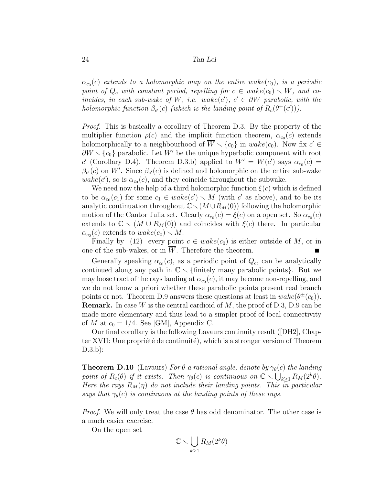$\alpha_{c_0}(c)$  extends to a holomorphic map on the entire wake $(c_0)$ , is a periodic point of  $Q_c$  with constant period, repelling for  $c \in wake(c_0) \setminus \overline{W}$ , and coincides, in each sub-wake of W, i.e. wake(c'),  $c' \in \partial W$  parabolic, with the holomorphic function  $\beta_{c'}(c)$  (which is the landing point of  $R_c(\theta^{\pm}(c'))$ ).

*Proof.* This is basically a corollary of Theorem D.3. By the property of the multiplier function  $\rho(c)$  and the implicit function theorem,  $\alpha_{c_0}(c)$  extends holomorphically to a neighbourhood of  $\overline{W} \setminus \{c_0\}$  in  $\mathit{wake}(c_0)$ . Now fix  $c' \in$  $\partial W \setminus \{c_0\}$  parabolic. Let W' be the unique hyperbolic component with root c' (Corollary D.4). Theorem D.3.b) applied to  $W' = W(c')$  says  $\alpha_{c_0}(c) =$  $\beta_{c'}(c)$  on W'. Since  $\beta_{c'}(c)$  is defined and holomorphic on the entire sub-wake  $\mathit{wake}(c')$ , so is  $\alpha_{c_0}(c)$ , and they coincide throughout the subwake.

We need now the help of a third holomorphic function  $\xi(c)$  which is defined to be  $\alpha_{c_0}(c_1)$  for some  $c_1 \in \text{wake}(c') \setminus M$  (with c' as above), and to be its analytic continuation throughout  $\mathbb{C}\setminus(M\cup R_M(0))$  following the holomorphic motion of the Cantor Julia set. Clearly  $\alpha_{c_0}(c) = \xi(c)$  on a open set. So  $\alpha_{c_0}(c)$ extends to  $\mathbb{C} \setminus (M \cup R_M(0))$  and coincides with  $\xi(c)$  there. In particular  $\alpha_{c_0}(c)$  extends to  $\textit{wake}(c_0) \setminus M$ .

Finally by (12) every point  $c \in wake(c_0)$  is either outside of M, or in one of the sub-wakes, or in  $\overline{W}$ . Therefore the theorem.

Generally speaking  $\alpha_{c_0}(c)$ , as a periodic point of  $Q_c$ , can be analytically continued along any path in  $\mathbb{C} \setminus \{\text{finitely many parabolic points}\}.$  But we may loose tract of the rays landing at  $\alpha_{c_0}(c)$ , it may become non-repelling, and we do not know a priori whether these parabolic points present real branch points or not. Theorem D.9 answers these questions at least in  $\text{wake}(\theta^{\pm}(c_0)).$ **Remark.** In case W is the central cardioid of  $M$ , the proof of D.3, D.9 can be made more elementary and thus lead to a simpler proof of local connectivity of M at  $c_0 = 1/4$ . See [GM], Appendix C.

Our final corollary is the following Lavaurs continuity result ([DH2], Chapter XVII: Une propriété de continuité), which is a stronger version of Theorem D.3.b):

**Theorem D.10** (Lavaurs) For  $\theta$  a rational angle, denote by  $\gamma_{\theta}(c)$  the landing point of  $R_c(\theta)$  if it exists. Then  $\gamma_{\theta}(c)$  is continuous on  $\mathbb{C} \setminus \bigcup_{k \geq 1} R_M(2^k \theta)$ . Here the rays  $R_M(\eta)$  do not include their landing points. This in particular says that  $\gamma_{\theta}(c)$  is continuous at the landing points of these rays.

*Proof.* We will only treat the case  $\theta$  has odd denominator. The other case is a much easier exercise.

On the open set

$$
\mathbb{C} \smallsetminus \overline{\bigcup_{k\geq 1} R_M(2^k\theta)}
$$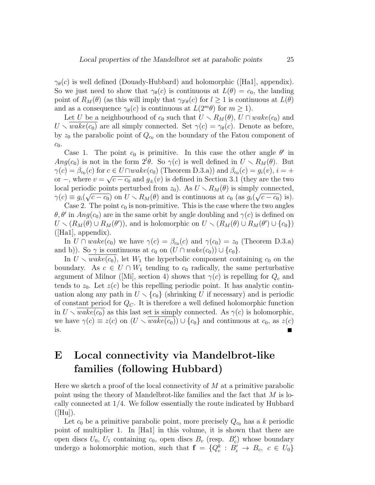$\gamma_{\theta}(c)$  is well defined (Douady-Hubbard) and holomorphic ([Ha1], appendix). So we just need to show that  $\gamma_{\theta}(c)$  is continuous at  $L(\theta) = c_0$ , the landing point of  $R_M(\theta)$  (as this will imply that  $\gamma_{2l\theta}(c)$  for  $l \geq 1$  is continuous at  $L(\theta)$ and as a consequence  $\gamma_{\theta}(c)$  is continuous at  $L(2^m\theta)$  for  $m \geq 1$ .

Let U be a neighbourhood of  $c_0$  such that  $U \setminus R_M(\theta)$ ,  $U \cap wake(c_0)$  and  $U \setminus wake(c_0)$  are all simply connected. Set  $\gamma(c) = \gamma_{\theta}(c)$ . Denote as before, by  $z_0$  the parabolic point of  $Q_{c_0}$  on the boundary of the Fatou component of  $c_0$ .

Case 1. The point  $c_0$  is primitive. In this case the other angle  $\theta'$  in  $Ang(c_0)$  is not in the form  $2^l\theta$ . So  $\gamma(c)$  is well defined in  $U \setminus R_M(\theta)$ . But  $\gamma(c) = \beta_{c_0}(c)$  for  $c \in U \cap wake(c_0)$  (Theorem D.3.a)) and  $\beta_{c_0}(c) = g_i(v), i = +$ or –, where  $v = \sqrt{c - c_0}$  and  $g_{\pm}(v)$  is defined in Section 3.1 (they are the two local periodic points perturbed from  $z_0$ ). As  $U \setminus R_M(\theta)$  is simply connected,  $\gamma(c) \equiv g_i(\sqrt{c-c_0})$  on  $U \setminus R_M(\theta)$  and is continuous at  $c_0$  (as  $g_i(\sqrt{c-c_0})$  is).

Case 2. The point  $c_0$  is non-primitive. This is the case where the two angles  $\theta, \theta'$  in  $Ang(c_0)$  are in the same orbit by angle doubling and  $\gamma(c)$  is defined on  $U \setminus (R_M(\theta) \cup R_M(\theta'))$ , and is holomorphic on  $U \setminus (R_M(\theta) \cup R_M(\theta') \cup \{c_0\})$  $([Ha1],$  appendix).

In  $U \cap wake(c_0)$  we have  $\gamma(c) = \beta_{c_0}(c)$  and  $\gamma(c_0) = z_0$  (Theorem D.3.a) and b)). So  $\gamma$  is continuous at  $c_0$  on  $(U \cap wake(c_0)) \cup \{c_0\}.$ 

In  $U \setminus wake(c_0)$ , let  $W_1$  the hyperbolic component containing  $c_0$  on the boundary. As  $c \in U \cap W_1$  tending to  $c_0$  radically, the same perturbative argument of Milnor ([Mi], section 4) shows that  $\gamma(c)$  is repelling for  $Q_c$  and tends to  $z_0$ . Let  $z(c)$  be this repelling periodic point. It has analytic continuation along any path in  $U \setminus {c_0}$  (shrinking U if necessary) and is periodic of constant period for  $Q_C$ . It is therefore a well defined holomorphic function in  $U \setminus wake(c_0)$  as this last set is simply connected. As  $\gamma(c)$  is holomorphic, we have  $\gamma(c) \equiv z(c)$  on  $(U \setminus wake(c_0)) \cup \{c_0\}$  and continuous at  $c_0$ , as  $z(c)$ is.  $\mathcal{L}$ 

# E Local connectivity via Mandelbrot-like families (following Hubbard)

Here we sketch a proof of the local connectivity of  $M$  at a primitive parabolic point using the theory of Mandelbrot-like families and the fact that M is locally connected at 1/4. We follow essentially the route indicated by Hubbard  $([Hu]).$ 

Let  $c_0$  be a primitive parabolic point, more precisely  $Q_{c_0}$  has a k periodic point of multiplier 1. In [Ha1] in this volume, it is shown that there are open discs  $U_0$ ,  $U_1$  containing  $c_0$ , open discs  $B_c$  (resp.  $B_c'$ ) whose boundary undergo a holomorphic motion, such that  $f = \{Q_c^k : B_c^{\prime} \to B_c, c \in U_0\}$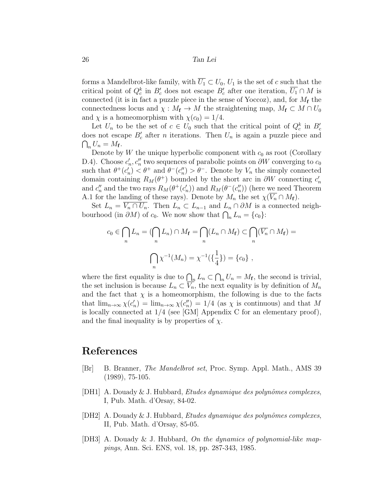forms a Mandelbrot-like family, with  $\overline{U_1} \subset U_0$ ,  $U_1$  is the set of c such that the critical point of  $Q_c^k$  in  $B_c'$  does not escape  $B_c'$  after one iteration,  $\overline{U_1} \cap M$  is connected (it is in fact a puzzle piece in the sense of Yoccoz), and, for  $M_f$  the connectedness locus and  $\chi : M_{\mathbf{f}} \to M$  the straightening map,  $M_{\mathbf{f}} \subset M \cap U_0$ and  $\chi$  is a homeomorphism with  $\chi(c_0) = 1/4$ .

Let  $U_n$  to be the set of  $c \in U_0$  such that the critical point of  $Q_c^k$  in  $B_c'$ does not escape  $B_c'$  after *n* iterations. Then  $U_n$  is again a puzzle piece and  $\bigcap_n U_n = M_{\mathbf{f}}.$ 

Denote by W the unique hyperbolic component with  $c_0$  as root (Corollary D.4). Choose  $c'_n, c''_n$  two sequences of parabolic points on  $\partial W$  converging to  $c_0$ such that  $\theta^+(c'_n) < \theta^+$  and  $\theta^-(c''_n) > \theta^-$ . Denote by  $V_n$  the simply connected domain containing  $R_M(\theta^+)$  bounded by the short arc in  $\partial W$  connecting  $c'_n$ and  $c''_n$  and the two rays  $R_M(\theta^+(c'_n))$  and  $R_M(\theta^-(c''_n))$  (here we need Theorem A.1 for the landing of these rays). Denote by  $M_n$  the set  $\chi(\overline{V_n} \cap M_f)$ .

Set  $L_n = \overline{V_n \cap U_n}$ . Then  $L_n \subset L_{n-1}$  and  $L_n \cap \partial M$  is a connected neighbourhood (in  $\partial M$ ) of  $c_0$ . We now show that  $\bigcap_n L_n = \{c_0\}$ :

$$
c_0 \in \bigcap_n L_n = (\bigcap_n L_n) \cap M_{\mathbf{f}} = \bigcap_n (L_n \cap M_{\mathbf{f}}) \subset \bigcap_n (\overline{V_n} \cap M_{\mathbf{f}}) =
$$

$$
\bigcap_n \chi^{-1}(M_n) = \chi^{-1}(\{\frac{1}{4}\}) = \{c_0\},
$$

where the first equality is due to  $\bigcap_n L_n \subset \bigcap_n U_n = M_f$ , the second is trivial, the set inclusion is because  $L_n \subset \overline{V_n}$ , the next equality is by definition of  $M_n$ and the fact that  $\chi$  is a homeomorphism, the following is due to the facts that  $\lim_{n\to\infty}\chi(c'_n) = \lim_{n\to\infty}\chi(c''_n) = 1/4$  (as  $\chi$  is continuous) and that M is locally connected at 1/4 (see [GM] Appendix C for an elementary proof), and the final inequality is by properties of  $\chi$ .

### References

- [Br] B. Branner, *The Mandelbrot set*, Proc. Symp. Appl. Math., AMS 39 (1989), 75-105.
- [DH1] A. Douady & J. Hubbard, *Etudes dynamique des polynômes complexes*, I, Pub. Math. d'Orsay, 84-02.
- [DH2] A. Douady & J. Hubbard, *Etudes dynamique des polynômes complexes*, II, Pub. Math. d'Orsay, 85-05.
- [DH3] A. Douady & J. Hubbard, On the dynamics of polynomial-like mappings, Ann. Sci. ENS, vol. 18, pp. 287-343, 1985.